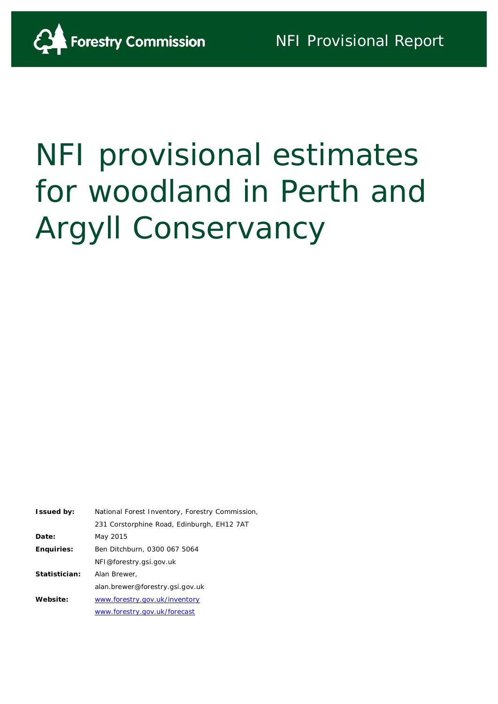# NFI provisional estimates for woodland in Perth and Argyll Conservancy

| <b>Issued by:</b> | National Forest Inventory, Forestry Commission, |
|-------------------|-------------------------------------------------|
|                   | 231 Corstorphine Road, Edinburgh, EH12 7AT      |
| Date:             | May 2015                                        |
| <b>Enquiries:</b> | Ben Ditchburn, 0300 067 5064                    |
|                   | NFI@forestry.gsi.gov.uk                         |
| Statistician:     | Alan Brewer.                                    |
|                   | alan.brewer@forestry.gsi.gov.uk                 |
| Website:          | www.forestry.gov.uk/inventory                   |
|                   | www.forestry.gov.uk/forecast                    |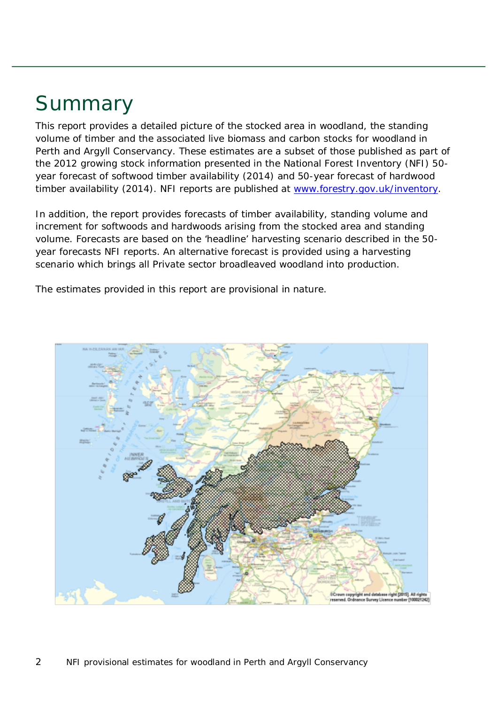# Summary

This report provides a detailed picture of the stocked area in woodland, the standing volume of timber and the associated live biomass and carbon stocks for woodland in Perth and Argyll Conservancy. These estimates are a subset of those published as part of the 2012 growing stock information presented in the National Forest Inventory (NFI) *50 year forecast of softwood timber availability* (2014) and *50-year forecast of hardwood timber availability* (2014). NFI reports are published at [www.forestry.gov.uk/inventory.](http://www.forestry.gov.uk/inventory)

In addition, the report provides forecasts of timber availability, standing volume and increment for softwoods and hardwoods arising from the stocked area and standing volume. Forecasts are based on the 'headline' harvesting scenario described in the 50 year forecasts NFI reports. An alternative forecast is provided using a harvesting scenario which brings all Private sector broadleaved woodland into production.

The estimates provided in this report are provisional in nature.

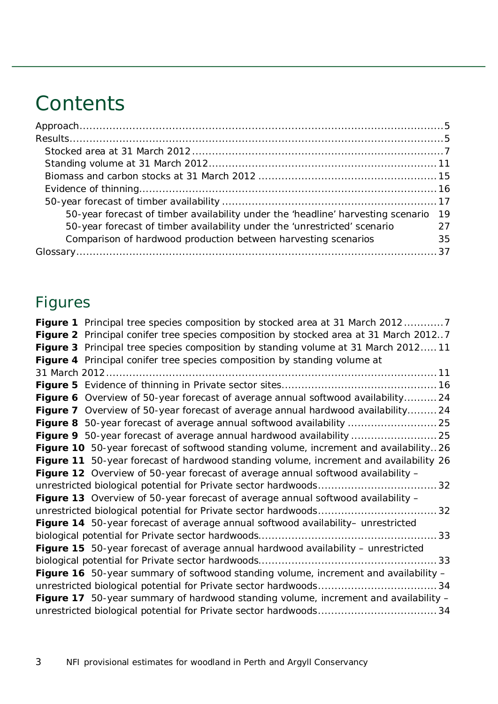# **Contents**

| 50-year forecast of timber availability under the 'headline' harvesting scenario 19 |    |
|-------------------------------------------------------------------------------------|----|
| 50-year forecast of timber availability under the 'unrestricted' scenario           | 27 |
| Comparison of hardwood production between harvesting scenarios                      | 35 |
|                                                                                     |    |

## Figures

| Figure 1 Principal tree species composition by stocked area at 31 March 20127              |
|--------------------------------------------------------------------------------------------|
| Figure 2 Principal conifer tree species composition by stocked area at 31 March 20127      |
| Figure 3 Principal tree species composition by standing volume at 31 March 201211          |
| Figure 4 Principal conifer tree species composition by standing volume at                  |
|                                                                                            |
|                                                                                            |
| Figure 6 Overview of 50-year forecast of average annual softwood availability 24           |
| Figure 7 Overview of 50-year forecast of average annual hardwood availability 24           |
|                                                                                            |
|                                                                                            |
| Figure 10 50-year forecast of softwood standing volume, increment and availability26       |
| Figure 11 50-year forecast of hardwood standing volume, increment and availability 26      |
| Figure 12 Overview of 50-year forecast of average annual softwood availability -           |
|                                                                                            |
| Figure 13 Overview of 50-year forecast of average annual softwood availability -           |
|                                                                                            |
| Figure 14 50-year forecast of average annual softwood availability- unrestricted           |
|                                                                                            |
| Figure 15 50-year forecast of average annual hardwood availability - unrestricted          |
|                                                                                            |
| Figure 16 50-year summary of softwood standing volume, increment and availability -        |
|                                                                                            |
| <b>Figure 17</b> 50-year summary of hardwood standing volume, increment and availability - |
|                                                                                            |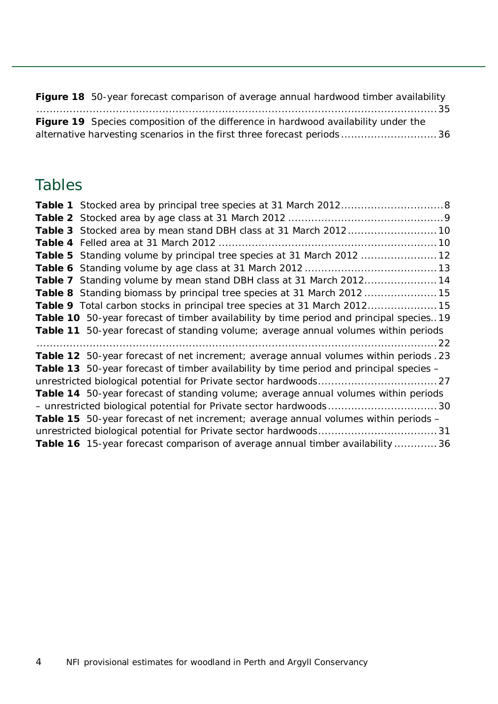| Figure 18 50-year forecast comparison of average annual hardwood timber availability      |  |
|-------------------------------------------------------------------------------------------|--|
|                                                                                           |  |
| <b>Figure 19</b> Species composition of the difference in hardwood availability under the |  |
| alternative harvesting scenarios in the first three forecast periods36                    |  |

### Tables

| Table 3 Stocked area by mean stand DBH class at 31 March 2012 10                          |
|-------------------------------------------------------------------------------------------|
|                                                                                           |
| Table 5 Standing volume by principal tree species at 31 March 2012  12                    |
|                                                                                           |
| Table 7 Standing volume by mean stand DBH class at 31 March 2012 14                       |
| Table 8 Standing biomass by principal tree species at 31 March 2012  15                   |
| Table 9 Total carbon stocks in principal tree species at 31 March 201215                  |
| Table 10 50-year forecast of timber availability by time period and principal species. 19 |
| Table 11 50-year forecast of standing volume; average annual volumes within periods       |
|                                                                                           |
| Table 12 50-year forecast of net increment; average annual volumes within periods .23     |
| Table 13 50-year forecast of timber availability by time period and principal species -   |
|                                                                                           |
| Table 14 50-year forecast of standing volume; average annual volumes within periods       |
| - unrestricted biological potential for Private sector hardwoods30                        |
| Table 15 50-year forecast of net increment; average annual volumes within periods -       |
|                                                                                           |
|                                                                                           |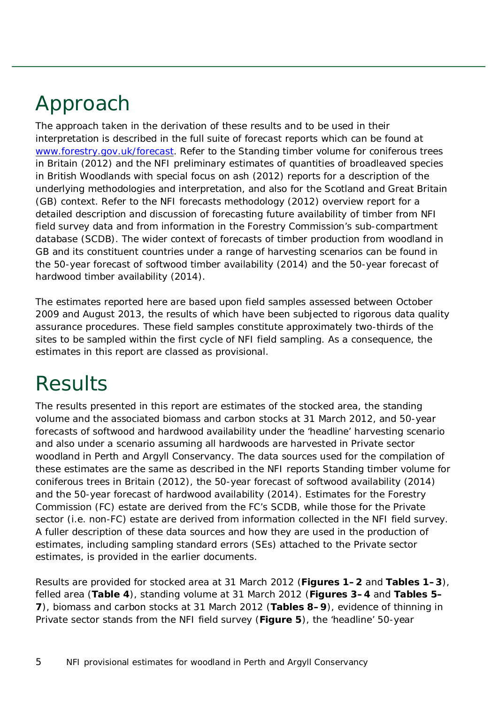# <span id="page-4-0"></span>Approach

The approach taken in the derivation of these results and to be used in their interpretation is described in the full suite of forecast reports which can be found at [www.forestry.gov.uk/forecast.](http://www.forestry.gov.uk/forecast) Refer to the *Standing timber volume for coniferous trees in Britain* (2012) and the *NFI preliminary estimates of quantities of broadleaved species in British Woodlands with special focus on ash* (2012) reports for a description of the underlying methodologies and interpretation, and also for the Scotland and Great Britain (GB) context. Refer to the *NFI forecasts methodology* (2012) overview report for a detailed description and discussion of forecasting future availability of timber from NFI field survey data and from information in the Forestry Commission's sub-compartment database (SCDB). The wider context of forecasts of timber production from woodland in GB and its constituent countries under a range of harvesting scenarios can be found in the *50-year forecast of softwood timber availability* (2014) and the *50-year forecast of hardwood timber availability* (2014).

The estimates reported here are based upon field samples assessed between October 2009 and August 2013, the results of which have been subjected to rigorous data quality assurance procedures. These field samples constitute approximately two-thirds of the sites to be sampled within the first cycle of NFI field sampling. As a consequence, the estimates in this report are classed as provisional.

# <span id="page-4-1"></span>**Results**

The results presented in this report are estimates of the stocked area, the standing volume and the associated biomass and carbon stocks at 31 March 2012, and 50-year forecasts of softwood and hardwood availability under the 'headline' harvesting scenario and also under a scenario assuming all hardwoods are harvested in Private sector woodland in Perth and Argyll Conservancy. The data sources used for the compilation of these estimates are the same as described in the NFI reports *Standing timber volume for coniferous trees in Britain* (2012), the *50-year forecast of softwood availability* (2014) and the *50-year forecast of hardwood availability* (2014). Estimates for the Forestry Commission (FC) estate are derived from the FC's SCDB, while those for the Private sector (i.e. non-FC) estate are derived from information collected in the NFI field survey. A fuller description of these data sources and how they are used in the production of estimates, including sampling standard errors (SEs) attached to the Private sector estimates, is provided in the earlier documents.

Results are provided for stocked area at 31 March 2012 (**Figures 1–2** and **Tables 1–3**), felled area (**Table 4**), standing volume at 31 March 2012 (**Figures 3–4** and **Tables 5– 7**), biomass and carbon stocks at 31 March 2012 (**Tables 8–9**), evidence of thinning in Private sector stands from the NFI field survey (**Figure 5**), the 'headline' 50-year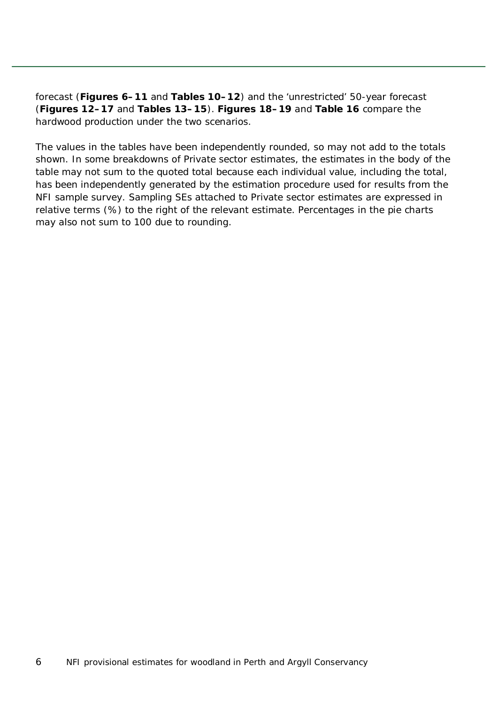forecast (**Figures 6–11** and **Tables 10–12**) and the 'unrestricted' 50-year forecast (**Figures 12–17** and **Tables 13–15**). **Figures 18–19** and **Table 16** compare the hardwood production under the two scenarios.

The values in the tables have been independently rounded, so may not add to the totals shown. In some breakdowns of Private sector estimates, the estimates in the body of the table may not sum to the quoted total because each individual value, including the total, has been independently generated by the estimation procedure used for results from the NFI sample survey. Sampling SEs attached to Private sector estimates are expressed in relative terms (%) to the right of the relevant estimate. Percentages in the pie charts may also not sum to 100 due to rounding.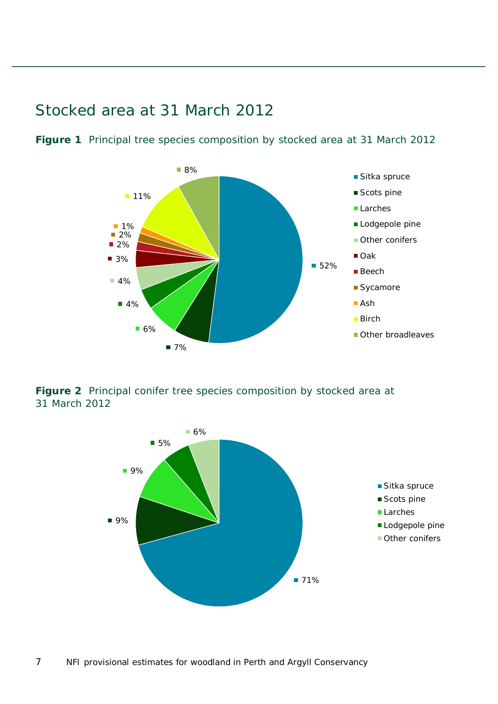<span id="page-6-0"></span>Stocked area at 31 March 2012



<span id="page-6-1"></span>**Figure 1** Principal tree species composition by stocked area at 31 March 2012

<span id="page-6-2"></span>**Figure 2** Principal conifer tree species composition by stocked area at 31 March 2012

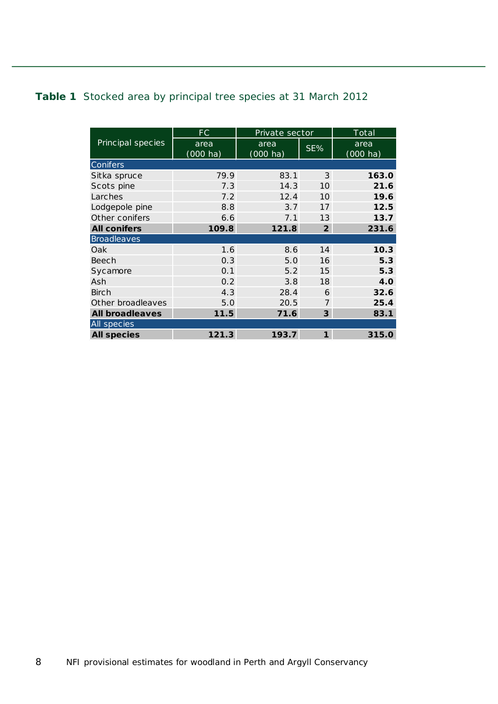#### <span id="page-7-0"></span>**Table 1** Stocked area by principal tree species at 31 March 2012

|                        | FC.                | Private sector     |                         | Total              |
|------------------------|--------------------|--------------------|-------------------------|--------------------|
| Principal species      | area               | area               | SE%                     | area               |
|                        | $(000 \text{ ha})$ | $(000 \text{ ha})$ |                         | $(000 \text{ ha})$ |
| Conifers               |                    |                    |                         |                    |
| Sitka spruce           | 79.9               | 83.1               | 3                       | 163.0              |
| Scots pine             | 7.3                | 14.3               | 10                      | 21.6               |
| Larches                | 7.2                | 12.4               | 10                      | 19.6               |
| Lodgepole pine         | 8.8                | 3.7                | 17                      | 12.5               |
| Other conifers         | 6.6                | 7.1                | 13                      | 13.7               |
| <b>All conifers</b>    | 109.8              | 121.8              | $\overline{2}$          | 231.6              |
| <b>Broadleaves</b>     |                    |                    |                         |                    |
| Oak                    | 1.6                | 8.6                | 14                      | 10.3               |
| Beech                  | 0.3                | 5.0                | 16                      | 5.3                |
| Sycamore               | 0.1                | 5.2                | 15                      | 5.3                |
| Ash                    | 0.2                | 3.8                | 18                      | 4.0                |
| Birch                  | 4.3                | 28.4               | 6                       | 32.6               |
| Other broadleaves      | 5.0                | 20.5               | $\overline{7}$          | 25.4               |
| <b>All broadleaves</b> | 11.5               | 71.6               | $\overline{\mathbf{3}}$ | 83.1               |
| All species            |                    |                    |                         |                    |
| <b>All species</b>     | 121.3              | 193.7              | $\mathbf{1}$            | 315.0              |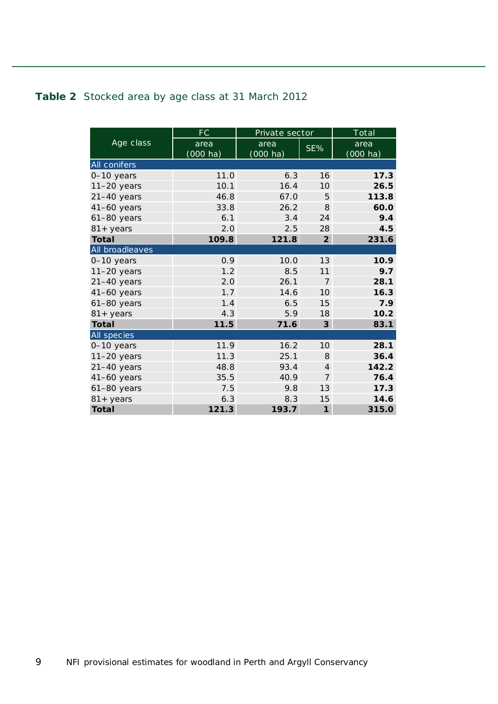#### <span id="page-8-0"></span>**Table 2** Stocked area by age class at 31 March 2012

|                     | <b>FC</b>          | Private sector     |                         | Total              |
|---------------------|--------------------|--------------------|-------------------------|--------------------|
| Age class           | area               | area               | SE%                     | area               |
|                     | $(000 \text{ ha})$ | $(000 \text{ ha})$ |                         | $(000 \text{ ha})$ |
| All conifers        |                    |                    |                         |                    |
| 0-10 years          | 11.0               | 6.3                | 16                      | 17.3               |
| $11-20$ years       | 10.1               | 16.4               | 10                      | 26.5               |
| $21-40$ years       | 46.8               | 67.0               | 5                       | 113.8              |
| $41-60$ years       | 33.8               | 26.2               | 8                       | 60.0               |
| $61-80$ years       | 6.1                | 3.4                | 24                      | 9.4                |
| $81 + \text{years}$ | 2.0                | 2.5                | 28                      | 4.5                |
| <b>Total</b>        | 109.8              | 121.8              | $\overline{2}$          | 231.6              |
| All broadleaves     |                    |                    |                         |                    |
| $0-10$ years        | 0.9                | 10.0               | 13                      | 10.9               |
| $11-20$ years       | 1.2                | 8.5                | 11                      | 9.7                |
| $21-40$ years       | 2.0                | 26.1               | $\overline{7}$          | 28.1               |
| $41-60$ years       | 1.7                | 14.6               | 10 <sup>2</sup>         | 16.3               |
| $61-80$ years       | 1.4                | 6.5                | 15                      | 7.9                |
| $81 + \text{years}$ | 4.3                | 5.9                | 18                      | 10.2               |
| <b>Total</b>        | 11.5               | 71.6               | $\overline{\mathbf{3}}$ | 83.1               |
| All species         |                    |                    |                         |                    |
| 0-10 years          | 11.9               | 16.2               | 10                      | 28.1               |
| $11-20$ years       | 11.3               | 25.1               | 8                       | 36.4               |
| $21-40$ years       | 48.8               | 93.4               | $\overline{4}$          | 142.2              |
| $41-60$ years       | 35.5               | 40.9               | $\overline{7}$          | 76.4               |
| $61-80$ years       | 7.5                | 9.8                | 13                      | 17.3               |
| $81 + years$        | 6.3                | 8.3                | 15                      | 14.6               |
| Total               | 121.3              | 193.7              | $\mathbf{1}$            | 315.0              |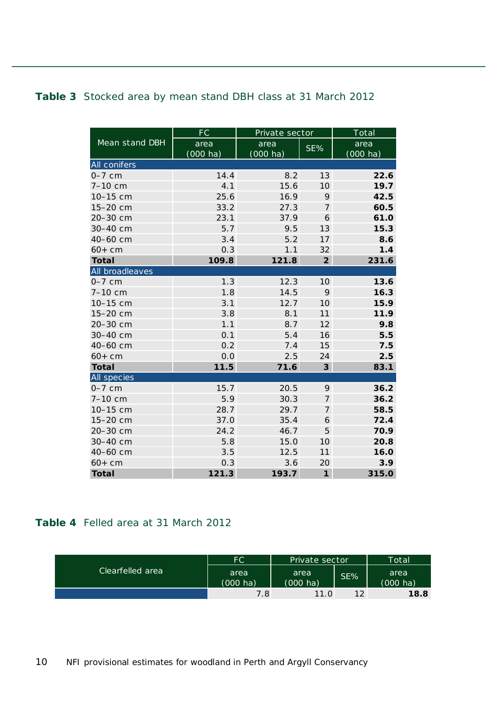#### <span id="page-9-0"></span>**Table 3** Stocked area by mean stand DBH class at 31 March 2012

|                 | <b>FC</b>          | Private sector |                 | Total              |
|-----------------|--------------------|----------------|-----------------|--------------------|
| Mean stand DBH  | area               | area           | SE%             | area               |
|                 | $(000 \text{ ha})$ | (000 ha)       |                 | $(000 \text{ ha})$ |
| All conifers    |                    |                |                 |                    |
| $0-7$ cm        | 14.4               | 8.2            | 13              | 22.6               |
| 7-10 cm         | 4.1                | 15.6           | 10              | 19.7               |
| 10-15 cm        | 25.6               | 16.9           | 9               | 42.5               |
| 15-20 cm        | 33.2               | 27.3           | 7               | 60.5               |
| 20-30 cm        | 23.1               | 37.9           | 6               | 61.0               |
| 30-40 cm        | 5.7                | 9.5            | 13              | 15.3               |
| 40-60 cm        | 3.4                | 5.2            | 17              | 8.6                |
| $60+cm$         | 0.3                | 1.1            | 32              | 1.4                |
| <b>Total</b>    | 109.8              | 121.8          | $\overline{2}$  | 231.6              |
| All broadleaves |                    |                |                 |                    |
| $0-7$ cm        | 1.3                | 12.3           | 10 <sup>1</sup> | 13.6               |
| $7 - 10$ cm     | 1.8                | 14.5           | 9               | 16.3               |
| 10-15 cm        | 3.1                | 12.7           | 10              | 15.9               |
| 15-20 cm        | 3.8                | 8.1            | 11              | 11.9               |
| 20-30 cm        | 1.1                | 8.7            | 12              | 9.8                |
| 30-40 cm        | 0.1                | 5.4            | 16              | 5.5                |
| 40-60 cm        | 0.2                | 7.4            | 15              | 7.5                |
| $60+cm$         | 0.0                | 2.5            | 24              | 2.5                |
| <b>Total</b>    | 11.5               | 71.6           | 3               | 83.1               |
| All species     |                    |                |                 |                    |
| $0-7$ cm        | 15.7               | 20.5           | 9               | 36.2               |
| 7-10 cm         | 5.9                | 30.3           | $\overline{7}$  | 36.2               |
| 10-15 cm        | 28.7               | 29.7           | 7               | 58.5               |
| 15-20 cm        | 37.0               | 35.4           | 6               | 72.4               |
| 20-30 cm        | 24.2               | 46.7           | 5               | 70.9               |
| 30-40 cm        | 5.8                | 15.0           | 10              | 20.8               |
| 40-60 cm        | 3.5                | 12.5           | 11              | 16.0               |
| $60+cm$         | 0.3                | 3.6            | 20              | 3.9                |
| <b>Total</b>    | 121.3              | 193.7          | $\mathbf{1}$    | 315.0              |

#### <span id="page-9-1"></span>**Table 4** Felled area at 31 March 2012

|                  | <b>FC</b>                  | Private sector             |     | Total                      |
|------------------|----------------------------|----------------------------|-----|----------------------------|
| Clearfelled area | area<br>$(000 \text{ ha})$ | area<br>$(000 \text{ ha})$ | SE% | area<br>$(000 \text{ ha})$ |
|                  | 7.8                        | 11.0                       | 1つ  | 18.8                       |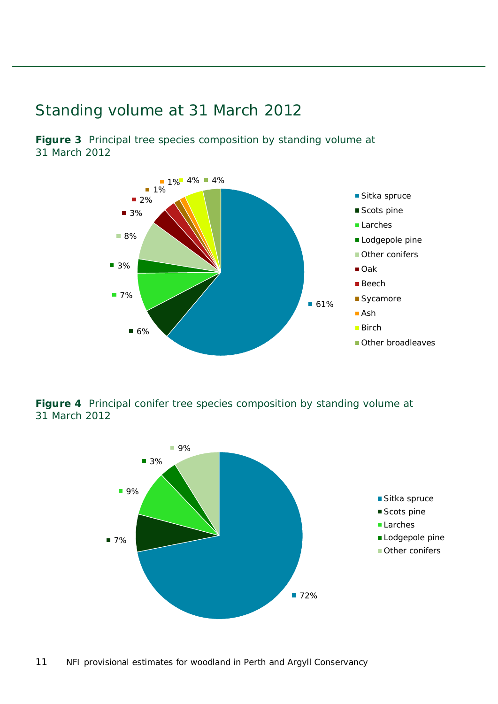### <span id="page-10-0"></span>Standing volume at 31 March 2012

<span id="page-10-1"></span>**Figure 3** Principal tree species composition by standing volume at 31 March 2012



<span id="page-10-2"></span>**Figure 4** Principal conifer tree species composition by standing volume at 31 March 2012

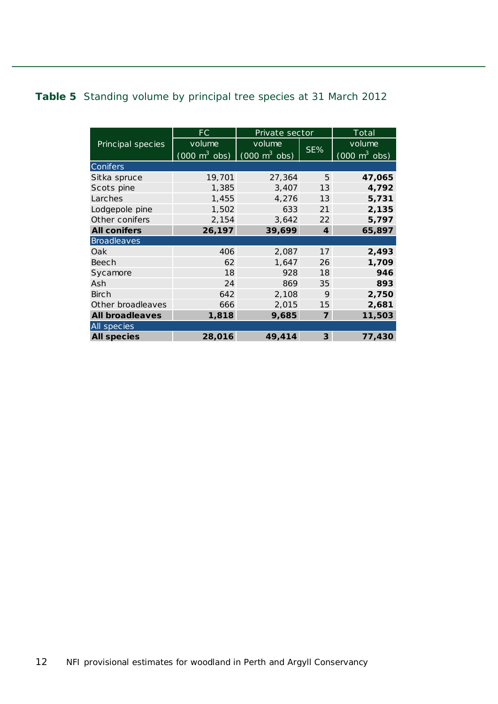#### <span id="page-11-0"></span>**Table 5** Standing volume by principal tree species at 31 March 2012

|                        | FC.                                                             | Private sector |                  | $\overline{\rm Total}$          |
|------------------------|-----------------------------------------------------------------|----------------|------------------|---------------------------------|
| Principal species      | volume                                                          | volume         | SE%              | volume                          |
|                        | $(000 \text{ m}^3 \text{ obs})$ $(000 \text{ m}^3 \text{ obs})$ |                |                  | $(000 \text{ m}^3 \text{ obs})$ |
| Conifers               |                                                                 |                |                  |                                 |
| Sitka spruce           | 19,701                                                          | 27,364         | 5                | 47,065                          |
| Scots pine             | 1,385                                                           | 3,407          | 13               | 4,792                           |
| Larches                | 1,455                                                           | 4,276          | 13               | 5,731                           |
| Lodgepole pine         | 1,502                                                           | 633            | 21               | 2,135                           |
| Other conifers         | 2,154                                                           | 3,642          | 22               | 5,797                           |
| <b>All conifers</b>    | 26,197                                                          | 39,699         | $\boldsymbol{4}$ | 65,897                          |
| <b>Broadleaves</b>     |                                                                 |                |                  |                                 |
| Oak                    | 406                                                             | 2,087          | 17               | 2,493                           |
| Beech                  | 62                                                              | 1,647          | 26               | 1,709                           |
| Sycamore               | 18                                                              | 928            | 18               | 946                             |
| Ash                    | 24                                                              | 869            | 35               | 893                             |
| <b>Birch</b>           | 642                                                             | 2,108          | 9                | 2,750                           |
| Other broadleaves      | 666                                                             | 2,015          | 15               | 2,681                           |
| <b>All broadleaves</b> | 1,818                                                           | 9,685          | $\overline{7}$   | 11,503                          |
| All species            |                                                                 |                |                  |                                 |
| <b>All species</b>     | 28,016                                                          | 49,414         | $\overline{3}$   | 77,430                          |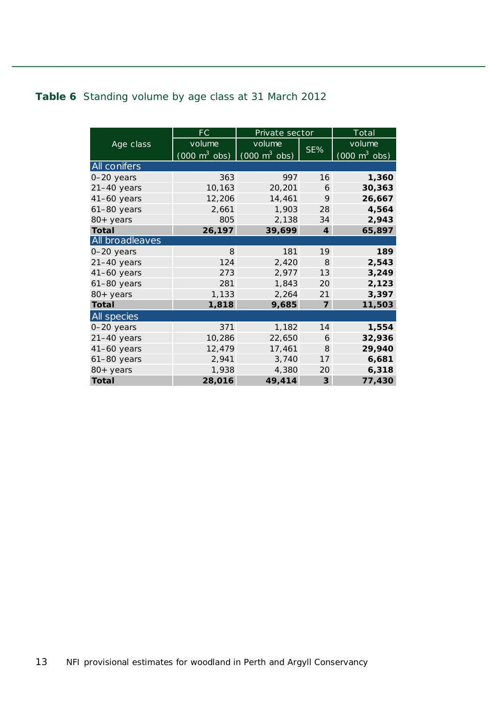#### <span id="page-12-0"></span>**Table 6** Standing volume by age class at 31 March 2012

|                    | FC                              | Private sector                  |                | Total                           |
|--------------------|---------------------------------|---------------------------------|----------------|---------------------------------|
| Age class          | volume                          | volume                          |                | volume                          |
|                    | $(000 \text{ m}^3 \text{ obs})$ | $(000 \text{ m}^3 \text{ obs})$ | SE%            | $(000 \text{ m}^3 \text{ obs})$ |
| All conifers       |                                 |                                 |                |                                 |
| $0 - 20$ years     | 363                             | 997                             | 16             | 1,360                           |
| 21-40 years        | 10,163                          | 20,201                          | 6              | 30,363                          |
| 41-60 years        | 12,206                          | 14,461                          | 9              | 26,667                          |
| $61-80$ years      | 2,661                           | 1,903                           | 28             | 4,564                           |
| $80+$ years        | 805                             | 2,138                           | 34             | 2,943                           |
| <b>Total</b>       | 26,197                          | 39,699                          | $\overline{4}$ | 65,897                          |
| All broadleaves    |                                 |                                 |                |                                 |
| 0-20 years         | 8                               | 181                             | 19             | 189                             |
| $21-40$ years      | 124                             | 2,420                           | 8              | 2,543                           |
| $41-60$ years      | 273                             | 2,977                           | 13             | 3,249                           |
| 61-80 years        | 281                             | 1,843                           | 20             | 2,123                           |
| 80+ years          | 1,133                           | 2,264                           | 21             | 3,397                           |
| Total              | 1,818                           | 9,685                           | $\overline{7}$ | 11,503                          |
| <b>All</b> species |                                 |                                 |                |                                 |
| 0-20 years         | 371                             | 1,182                           | 14             | 1,554                           |
| $21-40$ years      | 10,286                          | 22,650                          | 6              | 32,936                          |
| 41-60 years        | 12,479                          | 17,461                          | 8              | 29,940                          |
| $61-80$ years      | 2,941                           | 3,740                           | 17             | 6,681                           |
| 80+ years          | 1,938                           | 4,380                           | 20             | 6,318                           |
| <b>Total</b>       | 28,016                          | 49,414                          | 3              | 77,430                          |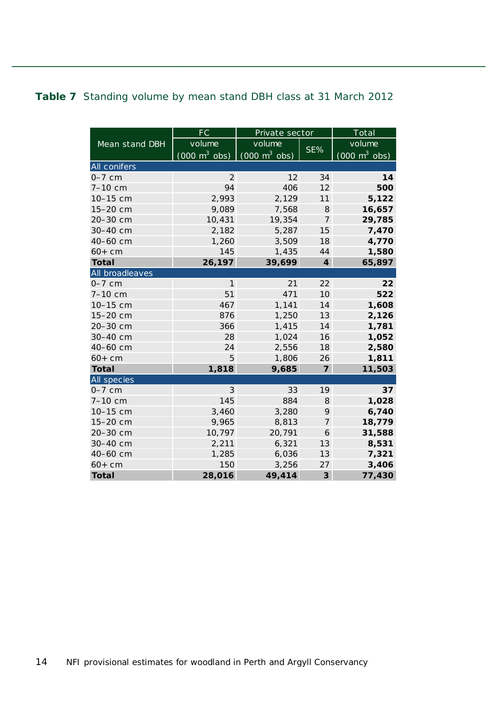#### <span id="page-13-0"></span>**Table 7** Standing volume by mean stand DBH class at 31 March 2012

|                 | <b>FC</b>                       | Private sector                  |                         | Total                           |
|-----------------|---------------------------------|---------------------------------|-------------------------|---------------------------------|
| Mean stand DBH  | volume                          | volume                          |                         | volume                          |
|                 | $(000 \text{ m}^3 \text{ obs})$ | $(000 \text{ m}^3 \text{ obs})$ | SE%                     | $(000 \text{ m}^3 \text{ obs})$ |
| All conifers    |                                 |                                 |                         |                                 |
| $0-7$ cm        | $\overline{2}$                  | 12                              | 34                      | 14                              |
| 7-10 cm         | 94                              | 406                             | 12                      | 500                             |
| 10-15 cm        | 2,993                           | 2,129                           | 11                      | 5,122                           |
| 15-20 cm        | 9,089                           | 7,568                           | 8                       | 16,657                          |
| 20-30 cm        | 10,431                          | 19,354                          | $\overline{7}$          | 29,785                          |
| 30-40 cm        | 2,182                           | 5,287                           | 15                      | 7,470                           |
| 40-60 cm        | 1,260                           | 3,509                           | 18                      | 4,770                           |
| $60+cm$         | 145                             | 1,435                           | 44                      | 1,580                           |
| <b>Total</b>    | 26,197                          | 39,699                          | $\overline{4}$          | 65,897                          |
| All broadleaves |                                 |                                 |                         |                                 |
| $0-7$ cm        | 1                               | 21                              | 22                      | 22                              |
| $7 - 10$ cm     | 51                              | 471                             | 10                      | 522                             |
| 10-15 cm        | 467                             | 1,141                           | 14                      | 1,608                           |
| 15-20 cm        | 876                             | 1,250                           | 13                      | 2,126                           |
| 20-30 cm        | 366                             | 1,415                           | 14                      | 1,781                           |
| 30-40 cm        | 28                              | 1,024                           | 16                      | 1,052                           |
| 40-60 cm        | 24                              | 2,556                           | 18                      | 2,580                           |
| $60+cm$         | 5                               | 1,806                           | 26                      | 1,811                           |
| <b>Total</b>    | 1,818                           | 9,685                           | $\overline{7}$          | 11,503                          |
| All species     |                                 |                                 |                         |                                 |
| $0-7$ cm        | 3                               | 33                              | 19                      | 37                              |
| 7-10 cm         | 145                             | 884                             | 8                       | 1,028                           |
| 10-15 cm        | 3,460                           | 3,280                           | 9                       | 6,740                           |
| 15-20 cm        | 9,965                           | 8,813                           | $\overline{7}$          | 18,779                          |
| 20-30 cm        | 10,797                          | 20,791                          | 6                       | 31,588                          |
| 30-40 cm        | 2,211                           | 6,321                           | 13                      | 8,531                           |
| 40-60 cm        | 1,285                           | 6,036                           | 13                      | 7,321                           |
| $60+cm$         | 150                             | 3,256                           | 27                      | 3,406                           |
| <b>Total</b>    | 28,016                          | 49,414                          | $\overline{\mathbf{3}}$ | 77,430                          |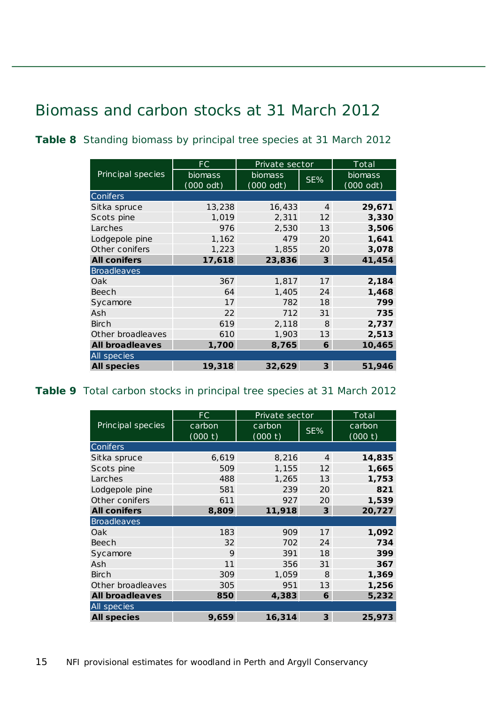### <span id="page-14-0"></span>Biomass and carbon stocks at 31 March 2012

|                        | FC.                  | Private sector         |                | Total                  |  |  |
|------------------------|----------------------|------------------------|----------------|------------------------|--|--|
| Principal species      | biomass<br>(000 odt) | biomass<br>$(000$ odt) | SE%            | biomass<br>$(000$ odt) |  |  |
| Conifers               |                      |                        |                |                        |  |  |
| Sitka spruce           | 13,238               | 16,433                 | $\overline{4}$ | 29,671                 |  |  |
| Scots pine             | 1,019                | 2,311                  | 12             | 3,330                  |  |  |
| Larches                | 976                  | 2,530                  | 13             | 3,506                  |  |  |
| Lodgepole pine         | 1,162                | 479                    | 20             | 1,641                  |  |  |
| Other conifers         | 1,223                | 1,855                  | 20             | 3,078                  |  |  |
| <b>All conifers</b>    | 17,618               | 23,836                 | $\mathbf{3}$   | 41,454                 |  |  |
| <b>Broadleaves</b>     |                      |                        |                |                        |  |  |
| Oak                    | 367                  | 1,817                  | 17             | 2,184                  |  |  |
| Beech                  | 64                   | 1,405                  | 24             | 1,468                  |  |  |
| Sycamore               | 17                   | 782                    | 18             | 799                    |  |  |
| Ash                    | 22                   | 712                    | 31             | 735                    |  |  |
| Birch                  | 619                  | 2,118                  | 8              | 2,737                  |  |  |
| Other broadleaves      | 610                  | 1,903                  | 13             | 2,513                  |  |  |
| <b>All broadleaves</b> | 1,700                | 8,765                  | 6              | 10,465                 |  |  |
| All species            |                      |                        |                |                        |  |  |
| <b>All species</b>     | 19,318               | 32,629                 | $\mathbf{3}$   | 51,946                 |  |  |

<span id="page-14-1"></span>**Table 8** Standing biomass by principal tree species at 31 March 2012

#### <span id="page-14-2"></span>**Table 9** Total carbon stocks in principal tree species at 31 March 2012

|                        | FC      | Private sector |                | Total   |  |  |
|------------------------|---------|----------------|----------------|---------|--|--|
| Principal species      | carbon  | carbon         | SE%            | carbon  |  |  |
|                        | (000 t) | (000 t)        |                | (000 t) |  |  |
| Conifers               |         |                |                |         |  |  |
| Sitka spruce           | 6,619   | 8,216          | $\overline{4}$ | 14,835  |  |  |
| Scots pine             | 509     | 1,155          | 12             | 1,665   |  |  |
| Larches                | 488     | 1,265          | 13             | 1,753   |  |  |
| Lodgepole pine         | 581     | 239            | 20             | 821     |  |  |
| Other conifers         | 611     | 927            | 20             | 1,539   |  |  |
| <b>All conifers</b>    | 8,809   | 11,918         | $\overline{3}$ | 20,727  |  |  |
| <b>Broadleaves</b>     |         |                |                |         |  |  |
| Oak                    | 183     | 909            | 17             | 1,092   |  |  |
| Beech                  | 32      | 702            | 24             | 734     |  |  |
| Sycamore               | 9       | 391            | 18             | 399     |  |  |
| Ash                    | 11      | 356            | 31             | 367     |  |  |
| <b>Birch</b>           | 309     | 1,059          | 8              | 1,369   |  |  |
| Other broadleaves      | 305     | 951            | 13             | 1,256   |  |  |
| <b>All broadleaves</b> | 850     | 4,383          | 6              | 5,232   |  |  |
| All species            |         |                |                |         |  |  |
| <b>All species</b>     | 9,659   | 16,314         | 3              | 25,973  |  |  |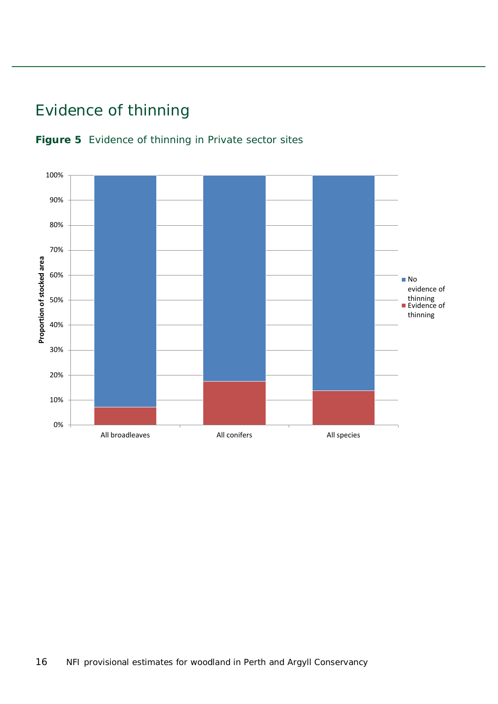### <span id="page-15-0"></span>Evidence of thinning

<span id="page-15-1"></span>

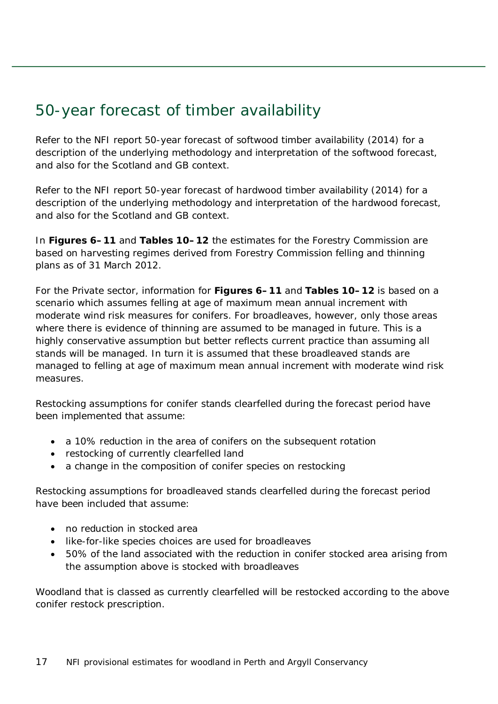### <span id="page-16-0"></span>50-year forecast of timber availability

Refer to the NFI report *50-year forecast of softwood timber availability* (2014) for a description of the underlying methodology and interpretation of the softwood forecast, and also for the Scotland and GB context.

Refer to the NFI report *50-year forecast of hardwood timber availability* (2014) for a description of the underlying methodology and interpretation of the hardwood forecast, and also for the Scotland and GB context.

In **Figures 6–11** and **Tables 10–12** the estimates for the Forestry Commission are based on harvesting regimes derived from Forestry Commission felling and thinning plans as of 31 March 2012.

For the Private sector, information for **Figures 6–11** and **Tables 10–12** is based on a scenario which assumes felling at age of maximum mean annual increment with moderate wind risk measures for conifers. For broadleaves, however, only those areas where there is evidence of thinning are assumed to be managed in future. This is a highly conservative assumption but better reflects current practice than assuming all stands will be managed. In turn it is assumed that these broadleaved stands are managed to felling at age of maximum mean annual increment with moderate wind risk measures.

Restocking assumptions for conifer stands clearfelled during the forecast period have been implemented that assume:

- a 10% reduction in the area of conifers on the subsequent rotation
- restocking of currently clearfelled land
- a change in the composition of conifer species on restocking

Restocking assumptions for broadleaved stands clearfelled during the forecast period have been included that assume:

- no reduction in stocked area
- like-for-like species choices are used for broadleaves
- 50% of the land associated with the reduction in conifer stocked area arising from the assumption above is stocked with broadleaves

Woodland that is classed as currently clearfelled will be restocked according to the above conifer restock prescription.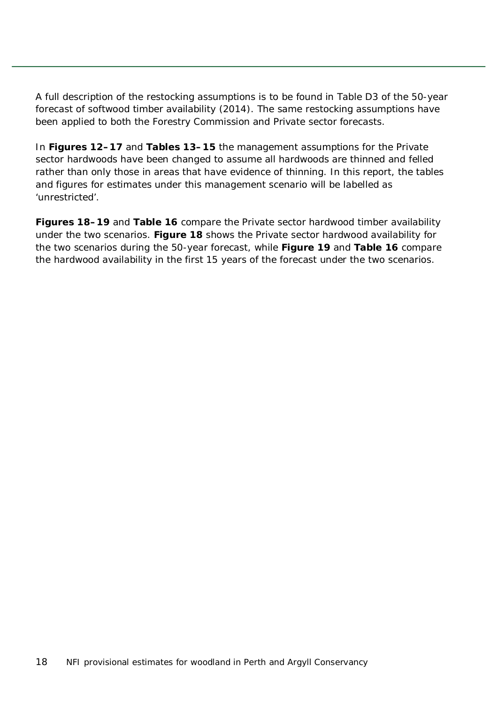A full description of the restocking assumptions is to be found in Table D3 of the *50-year forecast of softwood timber availability* (2014). The same restocking assumptions have been applied to both the Forestry Commission and Private sector forecasts.

In **Figures 12–17** and **Tables 13–15** the management assumptions for the Private sector hardwoods have been changed to assume all hardwoods are thinned and felled rather than only those in areas that have evidence of thinning. In this report, the tables and figures for estimates under this management scenario will be labelled as 'unrestricted'.

**Figures 18–19** and **Table 16** compare the Private sector hardwood timber availability under the two scenarios. **Figure 18** shows the Private sector hardwood availability for the two scenarios during the 50-year forecast, while **Figure 19** and **Table 16** compare the hardwood availability in the first 15 years of the forecast under the two scenarios.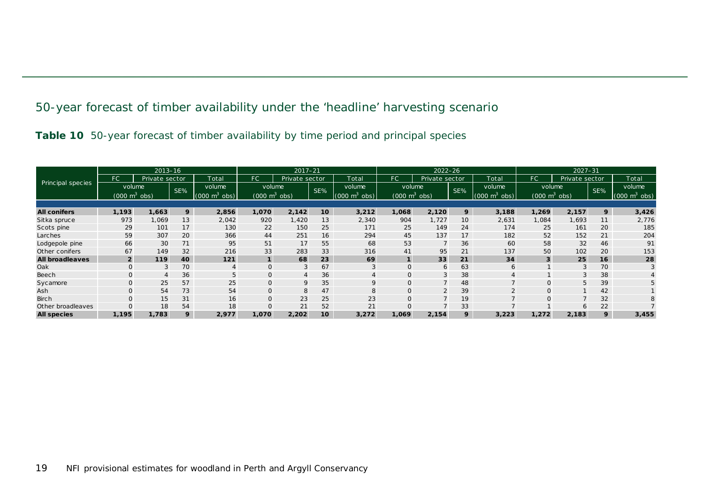#### 50-year forecast of timber availability under the 'headline' harvesting scenario

|  |  | Table 10 50-year forecast of timber availability by time period and principal species |  |  |  |
|--|--|---------------------------------------------------------------------------------------|--|--|--|
|  |  |                                                                                       |  |  |  |

<span id="page-18-1"></span><span id="page-18-0"></span>

|                        |                                 | $2013 - 16$    |     |                                 | $2017 - 21$                     |                |                 |                                 | $2022 - 26$                     |                |                 |                                         | $2027 - 31$                     |                |     |                                 |
|------------------------|---------------------------------|----------------|-----|---------------------------------|---------------------------------|----------------|-----------------|---------------------------------|---------------------------------|----------------|-----------------|-----------------------------------------|---------------------------------|----------------|-----|---------------------------------|
|                        | FC                              | Private sector |     | Total                           | FC.                             | Private sector |                 | Total                           | FC.                             | Private sector |                 | Total                                   | FC.                             | Private sector |     | Total                           |
| Principal species      | volume                          |                | SE% | volume                          | volume                          |                | SE%             | volume                          | volume                          |                | SE%             | volume                                  |                                 | volume         | SE% | volume                          |
|                        | $(000 \text{ m}^3 \text{ obs})$ |                |     | $(000 \text{ m}^3 \text{ obs})$ | $(000 \text{ m}^3 \text{ obs})$ |                |                 | $(000 \text{ m}^3 \text{ obs})$ | $(000 \text{ m}^3 \text{ obs})$ |                |                 | $(000 \text{ m}^3)$<br>$^{\prime}$ obs) | $(000 \text{ m}^3 \text{ obs})$ |                |     | $(000 \text{ m}^3 \text{ obs})$ |
|                        |                                 |                |     |                                 |                                 |                |                 |                                 |                                 |                |                 |                                         |                                 |                |     |                                 |
| <b>All conifers</b>    | 1,193                           | 1,663          | 9   | 2,856                           | 1,070                           | 2,142          | 10 <sup>1</sup> | 3,212                           | 1,068                           | 2,120          | 9               | 3,188                                   | 1,269                           | 2,157          | 9   | 3,426                           |
| Sitka spruce           | 973                             | 1,069          | 13  | 2,042                           | 920                             | 1,420          | 13              | 2,340                           | 904                             | 1,727          | 10 <sup>°</sup> | 2,631                                   | 1,084                           | 1,693          | 11  | 2,776                           |
| Scots pine             | 29                              | 101            | 17  | 130                             | 22                              | 150            | 25              | 171                             | 25                              | 149            | 24              | 174                                     | 25                              | 161            | 20  | 185                             |
| Larches                | 59                              | 307            | 20  | 366                             | 44                              | 251            | 16              | 294                             | 45                              | 137            | 17              | 182                                     | 52                              | 152            | 21  | 204                             |
| Lodgepole pine         | 66                              | 30             | 71  | 95                              | 51                              | 17             | 55              | 68                              | 53                              |                | 36              | 60                                      | 58                              | 32             | 46  | 91                              |
| Other conifers         | 67                              | 149            | 32  | 216                             | 33                              | 283            | 33              | 316                             | 41                              | 95             | 21              | 137                                     | 50                              | 102            | 20  | 153                             |
| <b>All broadleaves</b> | $\overline{2}$                  | 119            | 40  | $121$                           | $\mathbf{1}$                    | 68             | 23              | 69                              |                                 | 33             | 21              | 34                                      | 3                               | 25             | 16  | 28                              |
| Oak                    |                                 |                | 70  |                                 | 0                               | 3              | 67              |                                 | O                               | 6              | 63              | 6                                       |                                 | 3              | 70  |                                 |
| Beech                  |                                 |                | 36  |                                 | 0                               |                | 36              |                                 | O                               | $\Omega$       | 38              |                                         |                                 |                | 38  |                                 |
| Sycamore               |                                 | 25             | 57  | 25                              | $\mathbf{O}$                    | 9              | 35              | 9                               | O                               |                | 48              |                                         | $\Omega$                        | 5              | 39  |                                 |
| Ash                    |                                 | 54             | 73  | 54                              | $\mathsf{O}$                    | 8              | 47              | 8                               | O                               |                | 39              |                                         | $\Omega$                        |                | 42  |                                 |
| <b>Birch</b>           |                                 | 15             | 31  | 16                              | $\mathsf{O}$                    | 23             | 25              | 23                              | O                               |                | 19              |                                         | $\Omega$                        |                | 32  | 8                               |
| Other broadleaves      |                                 | 18             | 54  | 18                              | 0                               | 21             | 52              | 21                              |                                 |                | 33              |                                         |                                 |                | 22  |                                 |
| <b>All species</b>     | 1,195                           | 1,783          | 9   | 2,977                           | 1,070                           | 2,202          | 10 <sup>1</sup> | 3,272                           | 1,069                           | 2,154          | 9               | 3,223                                   | 1,272                           | 2,183          | 9   | 3,455                           |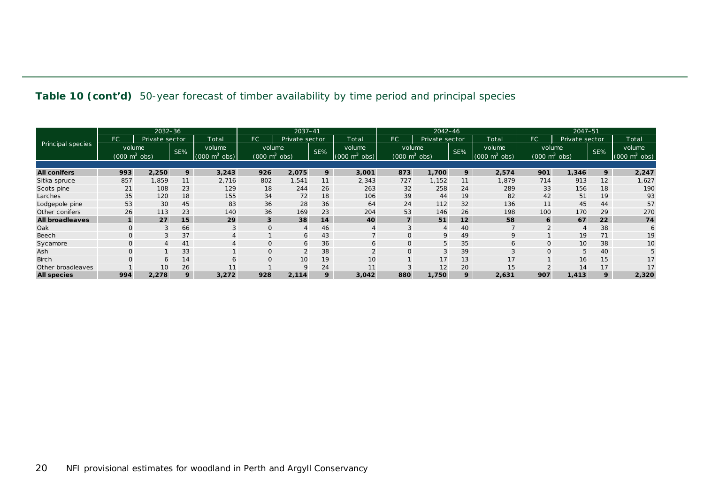#### **Table 10 (cont'd)** 50-year forecast of timber availability by time period and principal species

|                        |                                 | $2032 - 36$    |     |                                    | 2037-41                         |                |     |                     | $2042 - 46$                     |                |                 |                     | 2047-51                         |                |     |                                 |
|------------------------|---------------------------------|----------------|-----|------------------------------------|---------------------------------|----------------|-----|---------------------|---------------------------------|----------------|-----------------|---------------------|---------------------------------|----------------|-----|---------------------------------|
|                        | FC.                             | Private sector |     | Total                              | FC                              | Private sector |     | Total               | FC.                             | Private sector |                 | Total               | FC                              | Private sector |     | Total                           |
| Principal species      | volume                          |                | SE% | volume                             | volume                          |                | SE% | volume              | volume                          |                | SE%             | volume              | volume                          |                | SE% | volume                          |
|                        | $(000 \text{ m}^3 \text{ obs})$ |                |     | (000)<br>$\cosh$<br>m <sup>2</sup> | $(000 \text{ m}^3 \text{ obs})$ |                |     | (000)<br>$m^3$ obs) | $(000 \text{ m}^3 \text{ obs})$ |                |                 | (000)<br>$m^3$ obs) | $(000 \text{ m}^3 \text{ obs})$ |                |     | $(000 \text{ m}^3 \text{ obs})$ |
|                        |                                 |                |     |                                    |                                 |                |     |                     |                                 |                |                 |                     |                                 |                |     |                                 |
| <b>All conifers</b>    | 993                             | 2,250          | 9   | 3,243                              | 926                             | 2,075          | 9   | 3,001               | 873                             | 1,700          | 9               | 2,574               | 901                             | 1,346          | 9   | 2,247                           |
| Sitka spruce           | 857                             | 1,859          | 11  | 2,716                              | 802                             | 1,541          | 11  | 2,343               | 727                             | 1,152          | 11              | 1,879               | 714                             | 913            | 12  | 1,627                           |
| Scots pine             | 21                              | 108            | 23  | 129                                | 18                              | 244            | 26  | 263                 | 32                              | 258            | 24              | 289                 | 33                              | 156            | 18  | 190                             |
| Larches                | 35                              | 120            | 18  | 155                                | 34                              | 72             | 18  | 106                 | 39                              | 44             | 19              | 82                  | 42                              | 51             | 19  | 93                              |
| Lodgepole pine         | 53                              | 30             | 45  | 83                                 | 36                              | 28             | 36  | 64                  | 24                              | 112            | 32              | 136                 | 11                              | 45             | 44  | 57                              |
| Other conifers         | 26                              | 113            | 23  | 140                                | 36                              | 169            | 23  | 204                 | 53                              | 146            | 26              | 198                 | 100                             | 170            | 29  | 270                             |
| <b>All broadleaves</b> |                                 | 27             | 15  | 29                                 | $\mathbf{3}$                    | 38             | 14  | 40                  |                                 | 51             | 12 <sup>2</sup> | 58                  | 6                               | 67             | 22  | 74                              |
| Oak                    | $\mathbf{O}$                    | 3              | 66  | 3                                  | $\overline{0}$                  | $\overline{4}$ | 46  | $\overline{4}$      | 3                               | $\overline{4}$ | 40              |                     | $\overline{2}$                  |                | 38  | 6                               |
| Beech                  |                                 | 3              | 37  |                                    |                                 | 6              | 43  |                     |                                 | 9              | 49              | 9                   |                                 | 19             | 71  | 19                              |
| Sycamore               |                                 | $\overline{4}$ | 41  |                                    | 0                               | 6              | 36  | 6                   |                                 | 5              | 35              | 6                   | 0                               | 10             | 38  | 10                              |
| Ash                    |                                 |                | 33  |                                    | $\mathsf{O}$                    | $\overline{2}$ | 38  | 2                   |                                 | 3              | 39              | 3                   | $\mathbf{O}$                    | 5              | 40  | 5                               |
| <b>Birch</b>           |                                 | 6              | 14  | 6                                  | $\mathbf{O}$                    | 10             | 19  | 10                  |                                 | 17             | 13              | 17                  |                                 | 16             | 15  | 17                              |
| Other broadleaves      |                                 | 10             | 26  | 11                                 |                                 | 9              | 24  | 11                  |                                 | 12             | 20              | 15                  |                                 | 14             | 17  | 17                              |
| <b>All species</b>     | 994                             | 2,278          | 9   | 3,272                              | 928                             | 2,114          | 9   | 3,042               | 880                             | 1,750          | 9               | 2,631               | 907                             | 1,413          | 9   | 2,320                           |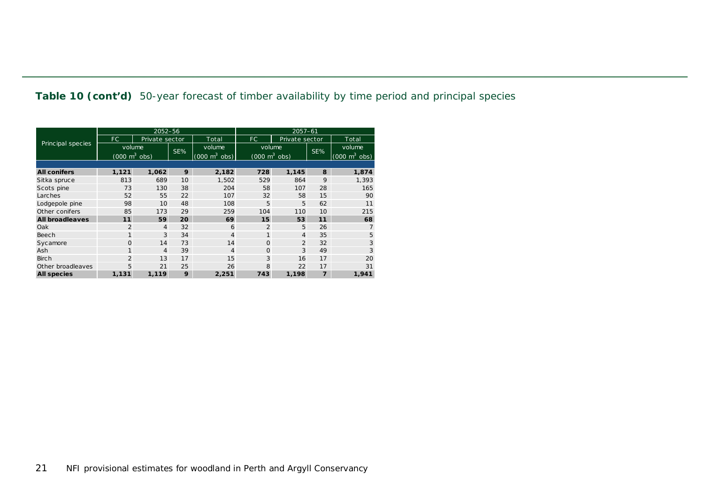**Table 10 (cont'd)** 50-year forecast of timber availability by time period and principal species

|                        |                                 | 2052-56        |     |                                 | $2057 - 61$    |                                     |                |                                 |  |  |  |
|------------------------|---------------------------------|----------------|-----|---------------------------------|----------------|-------------------------------------|----------------|---------------------------------|--|--|--|
|                        | FC.                             | Private sector |     | Total                           | FC.            | Private sector                      |                | Total                           |  |  |  |
| Principal species      | volume                          |                | SE% | volume                          | volume         |                                     | SE%            | volume                          |  |  |  |
|                        | $(000 \text{ m}^3 \text{ obs})$ |                |     | $(000 \text{ m}^3 \text{ obs})$ |                | $(000 \; \text{m}^3 \; \text{obs})$ |                | $(000 \text{ m}^3 \text{ obs})$ |  |  |  |
|                        |                                 |                |     |                                 |                |                                     |                |                                 |  |  |  |
| <b>All conifers</b>    | 1,121                           | 1,062          | 9   | 2,182                           | 728            | 1,145                               | 8              | 1,874                           |  |  |  |
| Sitka spruce           | 813                             | 689            | 10  | 1,502                           | 529            | 864                                 | 9              | 1,393                           |  |  |  |
| Scots pine             | 73                              | 130            | 38  | 204                             | 58             | 107                                 | 28             | 165                             |  |  |  |
| Larches                | 52                              | 55             | 22  | 107                             | 32             | 58                                  | 15             | 90                              |  |  |  |
| Lodgepole pine         | 98                              | 10             | 48  | 108                             | 5              | 5                                   | 62             | 11                              |  |  |  |
| Other conifers         | 85                              | 173            | 29  | 259                             | 104            | 110                                 | 10             | 215                             |  |  |  |
| <b>All broadleaves</b> | 11                              | 59             | 20  | 69                              | 15             | 53                                  | 11             | 68                              |  |  |  |
| Oak                    | $\overline{2}$                  | $\overline{4}$ | 32  | 6                               | $\overline{2}$ | 5                                   | 26             |                                 |  |  |  |
| Beech                  | 1                               | 3              | 34  | 4                               | 1              | $\overline{4}$                      | 35             | 5                               |  |  |  |
| Sycamore               | $\Omega$                        | 14             | 73  | 14                              | $\Omega$       | 2                                   | 32             | 3                               |  |  |  |
| Ash                    |                                 | $\overline{4}$ | 39  | 4                               | $\mathbf{O}$   | 3                                   | 49             | 3                               |  |  |  |
| <b>Birch</b>           | $\overline{2}$                  | 13             | 17  | 15                              | 3              | 16                                  | 17             | 20                              |  |  |  |
| Other broadleaves      | 5                               | 21             | 25  | 26                              | 8<br>22        |                                     | 17             | 31                              |  |  |  |
| <b>All species</b>     | 1,131                           | 1,119          | 9   | 2,251                           | 743            | 1,198                               | $\overline{z}$ | 1,941                           |  |  |  |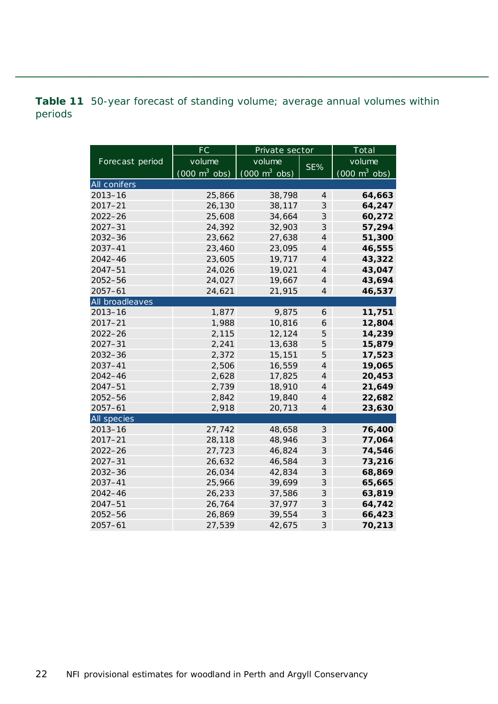<span id="page-21-0"></span>**Table 11** 50-year forecast of standing volume; average annual volumes within periods

|                 | $\overline{\mathsf{FC}}$        | Private sector                      |                          | Total                           |
|-----------------|---------------------------------|-------------------------------------|--------------------------|---------------------------------|
| Forecast period | volume                          | volume                              |                          | volume                          |
|                 | $(000 \text{ m}^3 \text{ obs})$ | $(000 \; \text{m}^3 \; \text{obs})$ | SE%                      | $(000 \text{ m}^3 \text{ obs})$ |
| All conifers    |                                 |                                     |                          |                                 |
| $2013 - 16$     | 25,866                          | 38,798                              | 4                        | 64,663                          |
| $2017 - 21$     | 26,130                          | 38,117                              | 3                        | 64,247                          |
| $2022 - 26$     | 25,608                          | 34,664                              | 3                        | 60,272                          |
| $2027 - 31$     | 24,392                          | 32,903                              | 3                        | 57,294                          |
| $2032 - 36$     | 23,662                          | 27,638                              | $\overline{\mathcal{A}}$ | 51,300                          |
| 2037-41         | 23,460                          | 23,095                              | $\overline{\mathcal{A}}$ | 46,555                          |
| 2042-46         | 23,605                          | 19,717                              | $\overline{\mathcal{A}}$ | 43,322                          |
| $2047 - 51$     | 24,026                          | 19,021                              | $\overline{\mathcal{A}}$ | 43,047                          |
| 2052-56         | 24,027                          | 19,667                              | $\overline{4}$           | 43,694                          |
| $2057 - 61$     | 24,621                          | 21,915                              | $\overline{4}$           | 46,537                          |
| All broadleaves |                                 |                                     |                          |                                 |
| $2013 - 16$     | 1,877                           | 9,875                               | 6                        | 11,751                          |
| $2017 - 21$     | 1,988                           | 10,816                              | 6                        | 12,804                          |
| $2022 - 26$     | 2,115                           | 12,124                              | 5                        | 14,239                          |
| $2027 - 31$     | 2,241                           | 13,638                              | 5                        | 15,879                          |
| 2032-36         | 2,372                           | 15,151                              | 5                        | 17,523                          |
| 2037-41         | 2,506                           | 16,559                              | $\overline{4}$           | 19,065                          |
| $2042 - 46$     | 2,628                           | 17,825                              | $\overline{4}$           | 20,453                          |
| $2047 - 51$     | 2,739                           | 18,910                              | 4                        | 21,649                          |
| 2052-56         | 2,842                           | 19,840                              | $\overline{4}$           | 22,682                          |
| $2057 - 61$     | 2,918                           | 20,713                              | $\overline{4}$           | 23,630                          |
| All species     |                                 |                                     |                          |                                 |
| $2013 - 16$     | 27,742                          | 48,658                              | 3                        | 76,400                          |
| $2017 - 21$     | 28,118                          | 48,946                              | 3                        | 77,064                          |
| $2022 - 26$     | 27,723                          | 46,824                              | 3                        | 74,546                          |
| $2027 - 31$     | 26,632                          | 46,584                              | 3                        | 73,216                          |
| $2032 - 36$     | 26,034                          | 42,834                              | 3                        | 68,869                          |
| 2037-41         | 25,966                          | 39,699                              | 3                        | 65,665                          |
| $2042 - 46$     | 26,233                          | 37,586                              | 3                        | 63,819                          |
| $2047 - 51$     | 26,764                          | 37,977                              | 3                        | 64,742                          |
| $2052 - 56$     | 26,869                          | 39,554                              | 3                        | 66,423                          |
| 2057-61         | 27,539                          | 42,675                              | 3                        | 70,213                          |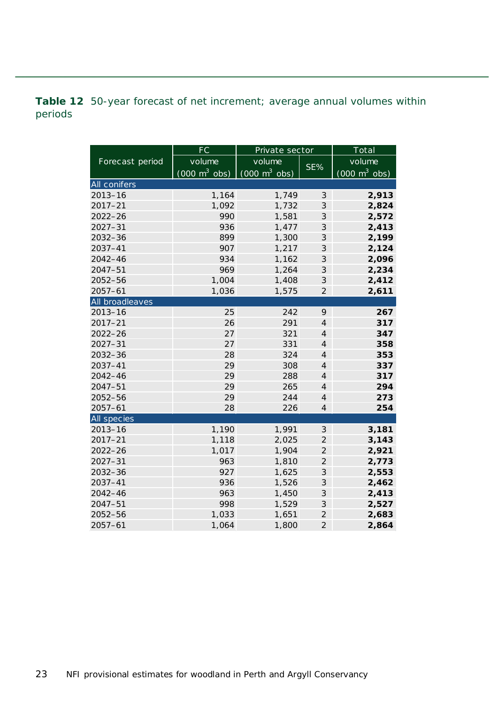<span id="page-22-0"></span>**Table 12** 50-year forecast of net increment; average annual volumes within periods

|                 | <b>FC</b>                       | Private sector                  |                             | Total                           |  |  |
|-----------------|---------------------------------|---------------------------------|-----------------------------|---------------------------------|--|--|
| Forecast period | volume                          | volume                          | SE%                         | volume                          |  |  |
|                 | $(000 \text{ m}^3 \text{ obs})$ | $(000 \text{ m}^3 \text{ obs})$ |                             | $(000 \text{ m}^3 \text{ obs})$ |  |  |
| All conifers    |                                 |                                 |                             |                                 |  |  |
| $2013 - 16$     | 1,164                           | 1,749                           | 3                           | 2,913                           |  |  |
| $2017 - 21$     | 1,092                           | 1,732                           | 3                           | 2,824                           |  |  |
| $2022 - 26$     | 990                             | 1,581                           | 3                           | 2,572                           |  |  |
| $2027 - 31$     | 936                             | 1,477                           | 3                           | 2,413                           |  |  |
| 2032-36         | 899                             | 1,300                           | 3                           | 2,199                           |  |  |
| $2037 - 41$     | 907                             | 1,217                           | 3                           | 2,124                           |  |  |
| $2042 - 46$     | 934                             | 1,162                           | 3                           | 2,096                           |  |  |
| $2047 - 51$     | 969                             | 1,264                           | 3                           | 2,234                           |  |  |
| 2052-56         | 1,004                           | 1,408                           | 3                           | 2,412                           |  |  |
| $2057 - 61$     | 1,036                           | 1,575                           | $\overline{2}$              | 2,611                           |  |  |
| All broadleaves |                                 |                                 |                             |                                 |  |  |
| $2013 - 16$     | 25                              | 242                             | 9                           | 267                             |  |  |
| $2017 - 21$     | 26                              | 291                             | $\overline{4}$              | 317                             |  |  |
| $2022 - 26$     | 27                              | 321                             | $\overline{4}$              | 347                             |  |  |
| $2027 - 31$     | 27                              | 331                             | $\overline{4}$              | 358                             |  |  |
| 2032-36         | 28                              | 324                             | $\overline{4}$              | 353                             |  |  |
| 2037-41         | 29                              | 308                             | $\overline{4}$              | 337                             |  |  |
| 2042-46         | 29                              | 288                             | $\overline{4}$              | 317                             |  |  |
| $2047 - 51$     | 29                              | 265                             | $\overline{4}$              | 294                             |  |  |
| $2052 - 56$     | 29                              | 244                             | $\overline{4}$              | 273                             |  |  |
| $2057 - 61$     | 28                              | 226                             | $\overline{A}$              | 254                             |  |  |
| All species     |                                 |                                 |                             |                                 |  |  |
| $2013 - 16$     | 1,190                           | 1,991                           | $\ensuremath{\mathcal{S}}$  | 3,181                           |  |  |
| $2017 - 21$     | 1,118                           | 2,025                           | $\mathfrak{2}$              | 3,143                           |  |  |
| $2022 - 26$     | 1,017                           | 1,904                           | $\overline{2}$              | 2,921                           |  |  |
| $2027 - 31$     | 963                             | 1,810                           | $\overline{2}$              | 2,773                           |  |  |
| 2032-36         | 927                             | 1,625                           | 3                           | 2,553                           |  |  |
| $2037 - 41$     | 936                             | 1,526                           | $\mathcal{S}_{\mathcal{S}}$ | 2,462                           |  |  |
| $2042 - 46$     | 963                             | 1,450                           | 3                           | 2,413                           |  |  |
| $2047 - 51$     | 998                             | 1,529                           | 3                           | 2,527                           |  |  |
| 2052-56         | 1,033                           | 1,651                           | $\overline{2}$              | 2,683                           |  |  |
| $2057 - 61$     | 1,064                           | 1,800                           | $\overline{2}$              | 2,864                           |  |  |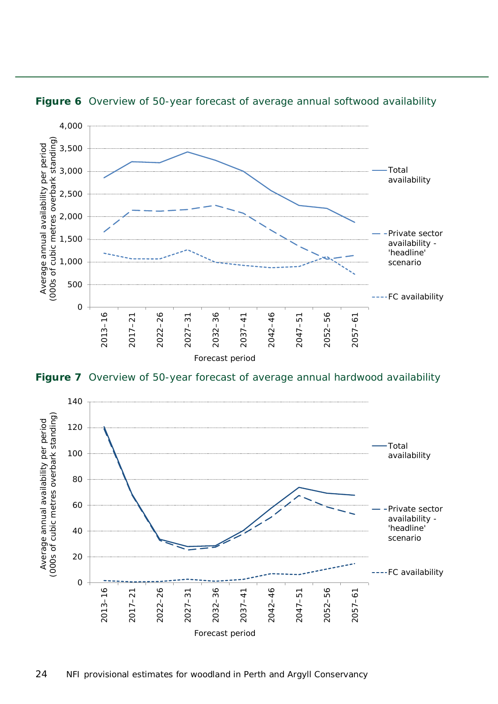

<span id="page-23-0"></span>

<span id="page-23-1"></span>**Figure 7** Overview of 50-year forecast of average annual hardwood availability

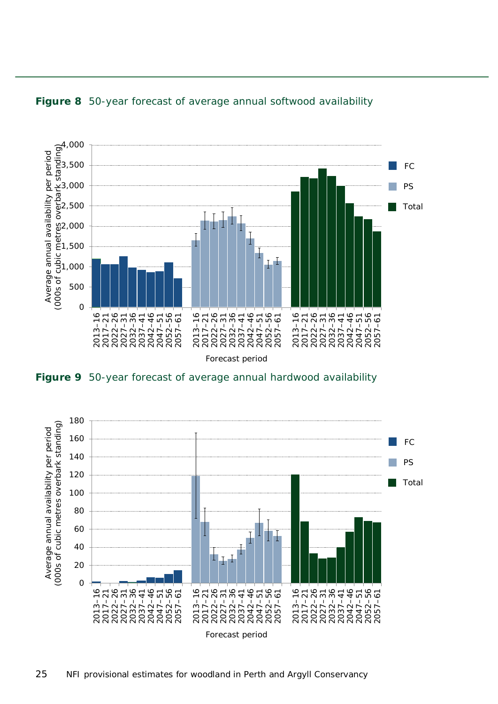

<span id="page-24-0"></span>

<span id="page-24-1"></span>**Figure 9** 50-year forecast of average annual hardwood availability

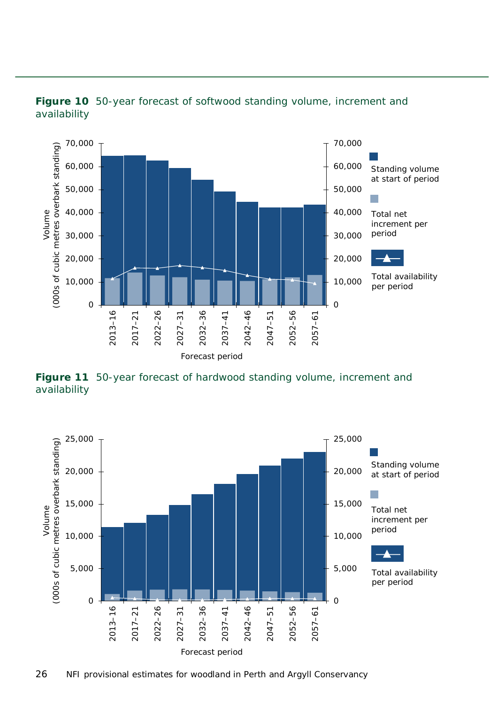

#### <span id="page-25-0"></span>**Figure 10** 50-year forecast of softwood standing volume, increment and availability

<span id="page-25-1"></span>**Figure 11** 50-year forecast of hardwood standing volume, increment and availability

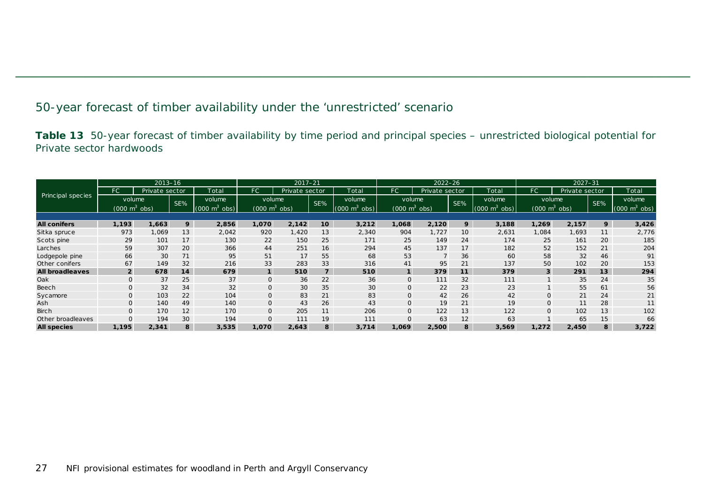#### 50-year forecast of timber availability under the 'unrestricted' scenario

**Table 13** 50-year forecast of timber availability by time period and principal species – unrestricted biological potential for Private sector hardwoods

<span id="page-26-1"></span><span id="page-26-0"></span>

|                        |                                 | $2013 - 16$    |     |                                | $2017 - 21$                     |                |                |                                 | $2022 - 26$                     |                |                 |                                 | $2027 - 31$                     |                |     |                                     |
|------------------------|---------------------------------|----------------|-----|--------------------------------|---------------------------------|----------------|----------------|---------------------------------|---------------------------------|----------------|-----------------|---------------------------------|---------------------------------|----------------|-----|-------------------------------------|
|                        | FC                              | Private sector |     | Total                          | FC                              | Private sector |                | Total                           | FC.                             | Private sector |                 | Total                           | FC.                             | Private sector |     | Total                               |
| Principal species      | volume                          |                | SE% | volume                         | volume                          |                | SE%            | volume                          | volume                          |                | SE%             | volume                          |                                 | volume         | SE% | volume                              |
|                        | $(000 \text{ m}^3 \text{ obs})$ |                |     | $(000 \text{ m}^3)$<br>$\cosh$ | $(000 \text{ m}^3 \text{ obs})$ |                |                | $(000 \text{ m}^3 \text{ obs})$ | $(000 \text{ m}^3 \text{ obs})$ |                |                 | $(000 \text{ m}^3 \text{ obs})$ | $(000 \text{ m}^3 \text{ obs})$ |                |     | $(000 \; \text{m}^3 \; \text{obs})$ |
|                        |                                 |                |     |                                |                                 |                |                |                                 |                                 |                |                 |                                 |                                 |                |     |                                     |
| <b>All conifers</b>    | 1,193                           | 1,663          | 9   | 2,856                          | 1,070                           | 2,142          | 10             | 3,212                           | 1,068                           | 2,120          | 9               | 3,188                           | 1,269                           | 2,157          | 9   | 3,426                               |
| Sitka spruce           | 973                             | 1,069          | 13  | 2,042                          | 920                             | 1,420          | 13             | 2,340                           | 904                             | ,727           | 10 <sup>°</sup> | 2,631                           | 1,084                           | 1,693          | 11  | 2,776                               |
| Scots pine             | 29                              | 101            | 17  | 130                            | 22                              | 150            | 25             | 171                             | 25                              | 149            | 24              | 174                             | 25                              | 161            | 20  | 185                                 |
| Larches                | 59                              | 307            | 20  | 366                            | 44                              | 251            | 16             | 294                             | 45                              | 137            | 17              | 182                             | 52                              | 152            | 21  | 204                                 |
| Lodgepole pine         | 66                              | 30             | 71  | 95                             | 51                              | 17             | 55             | 68                              | 53                              |                | 36              | 60                              | 58                              | 32             | 46  | 91                                  |
| Other conifers         | 67                              | 149            | 32  | 216                            | 33                              | 283            | 33             | 316                             | 41                              | 95             | 21              | 137                             | 50                              | 102            | 20  | 153                                 |
| <b>All broadleaves</b> | $\overline{2}$                  | 678            | 14  | 679                            | $\overline{\mathbf{1}}$         | 510            | $\overline{z}$ | 510                             |                                 | 379            | 11              | 379                             | 3 <sup>1</sup>                  | 291            | 13  | 294                                 |
| Oak                    | $\Omega$                        | 37             | 25  | 37                             | $\mathbf 0$                     | 36             | 22             | 36                              | 0                               | 111            | 32              | 111                             |                                 | 35             | 24  | 35                                  |
| Beech                  |                                 | 32             | 34  | 32                             | 0                               | 30             | 35             | 30                              | O                               | 22             | 23              | 23                              |                                 | 55             | 61  | 56                                  |
| Sycamore               | $\mathbf{O}$                    | 103            | 22  | 104                            | O                               | 83             | 21             | 83                              | O                               | 42             | 26              | 42                              | $\mathbf{O}$                    | 21             | 24  | 21                                  |
| Ash                    | $\Omega$                        | 140            | 49  | 140                            | O                               | 43             | 26             | 43                              | $\Omega$                        | 19             | 21              | 19                              | $\mathbf{O}$                    | 11             | 28  | 11                                  |
| <b>Birch</b>           | $\mathbf{O}$                    | 170            | 12  | 170                            | O                               | 205            | 11             | 206                             | $\mathbf{O}$                    | 122            | 13              | 122                             | $\Omega$                        | 102            | 13  | 102                                 |
| Other broadleaves      |                                 | 194            | 30  | 194                            | $\overline{O}$                  | 111            | 19             | 111                             | O                               | 63             | 12              | 63                              |                                 | 65             | 15  | 66                                  |
| <b>All species</b>     | 1,195                           | 2,341          | 8   | 3,535                          | 1,070                           | 2,643          | 8              | 3,714                           | 1,069                           | 2,500          | 8               | 3,569                           | 1,272                           | 2,450          | 8   | 3,722                               |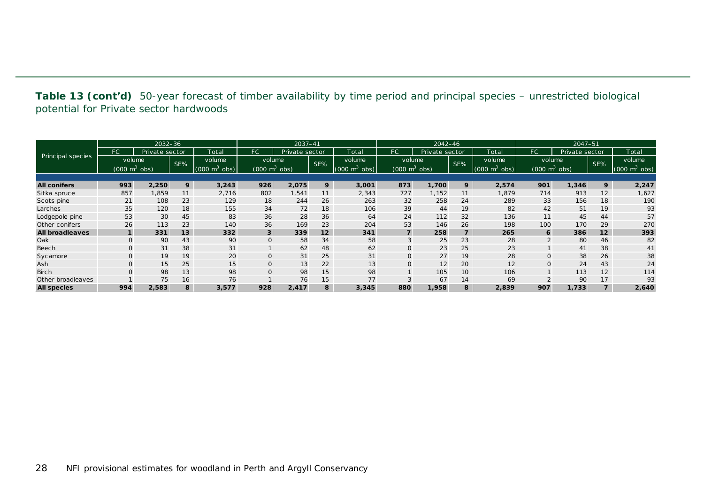**Table 13 (cont'd)** 50-year forecast of timber availability by time period and principal species – unrestricted biological potential for Private sector hardwoods

|                        |                                 | $2032 - 36$    |     |                    | 2037-41               |                |     |                                 | $2042 - 46$                     |                |     |                    | $2047 - 51$                     |                |     |                                 |
|------------------------|---------------------------------|----------------|-----|--------------------|-----------------------|----------------|-----|---------------------------------|---------------------------------|----------------|-----|--------------------|---------------------------------|----------------|-----|---------------------------------|
|                        | FC.                             | Private sector |     | Total              | <b>FC</b>             | Private sector |     | Total                           | FC                              | Private sector |     | Total              | FC.                             | Private sector |     | Total                           |
| Principal species      | volume                          |                | SE% | volume             | volume                |                | SE% | volume                          | volume                          |                | SE% | volume             | volume                          |                | SE% | volume                          |
|                        | $(000 \text{ m}^3 \text{ obs})$ |                |     | (000)<br>obs)<br>m | $(000 \; \text{m}^3)$ | obs)           |     | $(000 \text{ m}^3 \text{ obs})$ | $(000 \text{ m}^3 \text{ obs})$ |                |     | (000)<br>obs)<br>m | $(000 \text{ m}^3 \text{ obs})$ |                |     | $(000 \text{ m}^3 \text{ obs})$ |
|                        |                                 |                |     |                    |                       |                |     |                                 |                                 |                |     |                    |                                 |                |     |                                 |
| <b>All conifers</b>    | 993                             | 2,250          | 9   | 3,243              | 926                   | 2,075          | 9   | 3,001                           | 873                             | ,700           | 9   | 2,574              | 901                             | 1,346          | 9   | 2,247                           |
| Sitka spruce           | 857                             | 1,859          | 11  | 2,716              | 802                   | 1,541          | 11  | 2,343                           | 727                             | 1,152          | 11  | 1,879              | 714                             | 913            | 12  | 1,627                           |
| Scots pine             | 21                              | 108            | 23  | 129                | 18                    | 244            | 26  | 263                             | 32                              | 258            | 24  | 289                | 33                              | 156            | 18  | 190                             |
| Larches                | 35                              | 120            | 18  | 155                | 34                    | 72             | 18  | 106                             | 39                              | 44             | 19  | 82                 | 42                              | 51             | 19  | 93                              |
| Lodgepole pine         | 53                              | 30             | 45  | 83                 | 36                    | 28             | 36  | 64                              | 24                              | 112            | 32  | 136                | 11                              | 45             | 44  | 57                              |
| Other conifers         | 26                              | 113            | 23  | 140                | 36                    | 169            | 23  | 204                             | 53                              | 146            | 26  | 198                | 100                             | 170            | 29  | 270                             |
| <b>All broadleaves</b> |                                 | 331            | 13  | 332                | $\mathbf{3}$          | 339            | 12  | 341                             | $\overline{7}$                  | 258            | 7   | 265                | 6                               | 386            | 12  | 393                             |
| Oak                    |                                 | 90             | 43  | 90                 | $\mathbf 0$           | 58             | 34  | 58                              | 3                               | 25             | 23  | 28                 | $\Omega$                        | 80             | 46  | 82                              |
| Beech                  |                                 | 31             | 38  | 31                 |                       | 62             | 48  | 62                              | O                               | 23             | 25  | 23                 |                                 | 41             | 38  | 41                              |
| Sycamore               | $\mathbf 0$                     | 19             | 19  | 20                 | $\mathsf{O}$          | 31             | 25  | 31                              | $\Omega$                        | 27             | 19  | 28                 | 0                               | 38             | 26  | 38                              |
| Ash                    |                                 | 15             | 25  | 15 <sub>1</sub>    | $\mathsf{O}$          | 13             | 22  | 13                              | O                               | 12             | 20  | 12                 | 0                               | 24             | 43  | 24                              |
| <b>Birch</b>           |                                 | 98             | 13  | 98                 | $\mathsf{O}$          | 98             | 15  | 98                              |                                 | 105            | 10  | 106                |                                 | 113            | 12  | 114                             |
| Other broadleaves      |                                 | 75             | 16  | 76                 |                       | 76             | 15  | 77                              | $\sim$                          | 67             | 14  | 69                 |                                 | 90             | 17  | 93                              |
| <b>All species</b>     | 994                             | 2,583          | 8   | 3,577              | 928                   | 2,417          | 8   | 3,345                           | 880                             | 1,958          | 8   | 2,839              | 907                             | 1,733          |     | 2,640                           |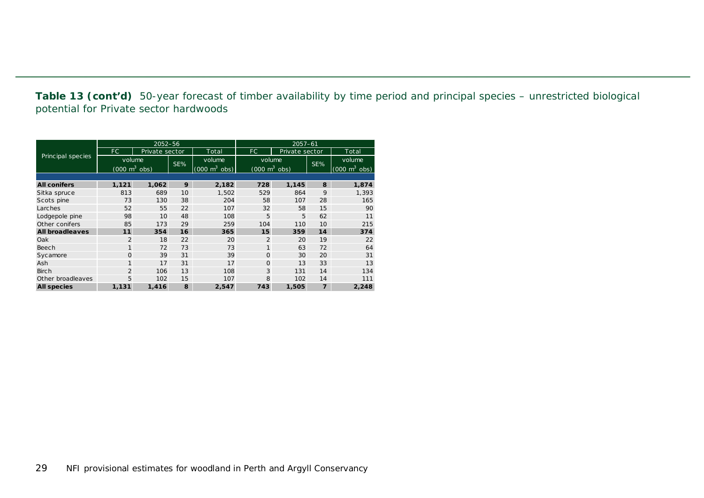**Table 13 (cont'd)** 50-year forecast of timber availability by time period and principal species – unrestricted biological potential for Private sector hardwoods

|                        |                                 | $2052 - 56$    |     |                                 | $2057 - 61$                     |       |     |                                 |  |  |
|------------------------|---------------------------------|----------------|-----|---------------------------------|---------------------------------|-------|-----|---------------------------------|--|--|
|                        | FC.                             | Private sector |     | Total                           | FC.<br>Private sector           |       |     | Total                           |  |  |
| Principal species      | volume                          |                | SE% | volume                          | volume                          |       | SE% | volume                          |  |  |
|                        | $(000 \text{ m}^3 \text{ obs})$ |                |     | $(000 \text{ m}^3 \text{ obs})$ | $(000 \text{ m}^3 \text{ obs})$ |       |     | $(000 \text{ m}^3 \text{ obs})$ |  |  |
|                        |                                 |                |     |                                 |                                 |       |     |                                 |  |  |
| <b>All conifers</b>    | 1,121                           | 1,062          | 9   | 2,182                           | 728                             | 1,145 | 8   | 1,874                           |  |  |
| Sitka spruce           | 813                             | 689            | 10  | 1,502                           | 529                             | 864   | 9   | 1,393                           |  |  |
| Scots pine             | 73                              | 130            | 38  | 204                             | 58                              | 107   | 28  | 165                             |  |  |
| Larches                | 52                              | 55             | 22  | 107                             | 32                              | 58    | 15  | 90                              |  |  |
| Lodgepole pine         | 98                              | 10             | 48  | 108                             | 5                               | 5     | 62  | 11                              |  |  |
| Other conifers         | 85                              | 173            | 29  | 259                             | 104                             | 110   | 10  | 215                             |  |  |
| <b>All broadleaves</b> | 11                              | 354            | 16  | 365                             | 15                              | 359   | 14  | 374                             |  |  |
| Oak                    | $\overline{2}$                  | 18             | 22  | 20                              | $\overline{2}$                  | 20    | 19  | 22                              |  |  |
| Beech                  | 1                               | 72             | 73  | 73                              | $\mathbf{1}$                    | 63    | 72  | 64                              |  |  |
| Sycamore               | $\Omega$                        | 39             | 31  | 39                              | $\Omega$                        | 30    | 20  | 31                              |  |  |
| Ash                    | $\mathbf{1}$                    | 17             | 31  | 17                              | $\Omega$                        | 13    | 33  | 13                              |  |  |
| <b>Birch</b>           | 2                               | 106            | 13  | 108                             | 3                               | 131   | 14  | 134                             |  |  |
| Other broadleaves      | 5                               | 102            | 15  | 107                             | 8                               | 102   | 14  | 111                             |  |  |
| <b>All species</b>     | 1,131                           | 1.416          | 8   | 2.547                           | 743                             | 1,505 | 7   | 2,248                           |  |  |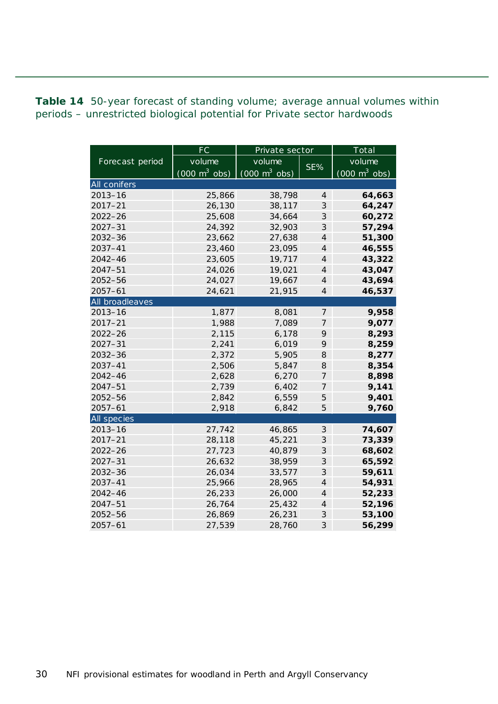<span id="page-29-0"></span>**Table 14** 50-year forecast of standing volume; average annual volumes within periods – unrestricted biological potential for Private sector hardwoods

|                 | FC                              | Private sector                  |                            | Total                           |  |  |
|-----------------|---------------------------------|---------------------------------|----------------------------|---------------------------------|--|--|
| Forecast period | volume                          | volume                          | SE%                        | volume                          |  |  |
|                 | $(000 \text{ m}^3 \text{ obs})$ | $(000 \text{ m}^3 \text{ obs})$ |                            | $(000 \text{ m}^3 \text{ obs})$ |  |  |
| All conifers    |                                 |                                 |                            |                                 |  |  |
| $2013 - 16$     | 25,866                          | 38,798                          | $\overline{4}$             | 64,663                          |  |  |
| $2017 - 21$     | 26,130                          | 38,117                          | $\mathcal S$               | 64,247                          |  |  |
| 2022-26         | 25,608                          | 34,664                          | 3                          | 60,272                          |  |  |
| $2027 - 31$     | 24,392                          | 32,903                          | 3                          | 57,294                          |  |  |
| $2032 - 36$     | 23,662                          | 27,638                          | $\overline{\mathcal{A}}$   | 51,300                          |  |  |
| 2037-41         | 23,460                          | 23,095                          | $\overline{4}$             | 46,555                          |  |  |
| $2042 - 46$     | 23,605                          | 19,717                          | $\overline{4}$             | 43,322                          |  |  |
| 2047-51         | 24,026                          | 19,021                          | $\overline{\mathcal{A}}$   | 43,047                          |  |  |
| 2052-56         | 24,027                          | 19,667                          | $\overline{4}$             | 43,694                          |  |  |
| $2057 - 61$     | 24,621                          | 21,915                          | $\overline{4}$             | 46,537                          |  |  |
| All broadleaves |                                 |                                 |                            |                                 |  |  |
| $2013 - 16$     | 1,877                           | 8,081                           | $\overline{7}$             | 9,958                           |  |  |
| $2017 - 21$     | 1,988                           | 7,089                           | 7                          | 9,077                           |  |  |
| $2022 - 26$     | 2,115                           | 6,178                           | 9                          | 8,293                           |  |  |
| $2027 - 31$     | 2,241                           | 6,019                           | 9                          | 8,259                           |  |  |
| 2032-36         | 2,372                           | 5,905                           | 8                          | 8,277                           |  |  |
| 2037-41         | 2,506                           | 5,847                           | 8                          | 8,354                           |  |  |
| $2042 - 46$     | 2,628                           | 6,270                           | 7                          | 8,898                           |  |  |
| 2047-51         | 2,739                           | 6,402                           | 7                          | 9,141                           |  |  |
| 2052-56         | 2,842                           | 6,559                           | 5                          | 9,401                           |  |  |
| $2057 - 61$     | 2,918                           | 6,842                           | 5                          | 9,760                           |  |  |
| All species     |                                 |                                 |                            |                                 |  |  |
| $2013 - 16$     | 27,742                          | 46,865                          | 3                          | 74,607                          |  |  |
| $2017 - 21$     | 28,118                          | 45,221                          | 3                          | 73,339                          |  |  |
| $2022 - 26$     | 27,723                          | 40,879                          | 3                          | 68,602                          |  |  |
| $2027 - 31$     | 26,632                          | 38,959                          | 3                          | 65,592                          |  |  |
| 2032-36         | 26,034                          | 33,577                          | 3                          | 59,611                          |  |  |
| $2037 - 41$     | 25,966                          | 28,965                          | $\overline{\mathcal{A}}$   | 54,931                          |  |  |
| $2042 - 46$     | 26,233                          | 26,000                          | $\overline{4}$             | 52,233                          |  |  |
| $2047 - 51$     | 26,764                          | 25,432                          | $\overline{4}$             | 52,196                          |  |  |
| 2052-56         | 26,869                          | 26,231                          | $\ensuremath{\mathcal{S}}$ | 53,100                          |  |  |
| $2057 - 61$     | 27,539                          | 28,760                          | 3                          | 56,299                          |  |  |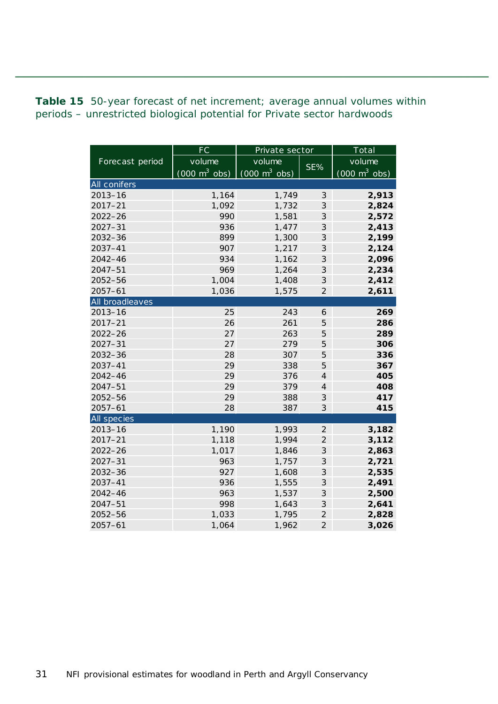<span id="page-30-0"></span>**Table 15** 50-year forecast of net increment; average annual volumes within periods – unrestricted biological potential for Private sector hardwoods

|                 | <b>FC</b>                       | Private sector                  | Total                      |                                 |  |
|-----------------|---------------------------------|---------------------------------|----------------------------|---------------------------------|--|
| Forecast period | volume                          | volume                          | SE%                        | volume                          |  |
|                 | $(000 \text{ m}^3 \text{ obs})$ | $(000 \text{ m}^3 \text{ obs})$ |                            | $(000 \text{ m}^3 \text{ obs})$ |  |
| All conifers    |                                 |                                 |                            |                                 |  |
| $2013 - 16$     | 1,164                           | 1,749                           | $\mathcal S$               | 2,913                           |  |
| $2017 - 21$     | 1,092                           | 1,732                           | $\mathcal{S}$              | 2,824                           |  |
| $2022 - 26$     | 990                             | 1,581                           | 3                          | 2,572                           |  |
| $2027 - 31$     | 936                             | 1,477                           | 3                          | 2,413                           |  |
| $2032 - 36$     | 899                             | 1,300                           | 3                          | 2,199                           |  |
| 2037-41         | 907                             | 1,217                           | 3                          | 2,124                           |  |
| $2042 - 46$     | 934                             | 1,162                           | 3                          | 2,096                           |  |
| $2047 - 51$     | 969                             | 1,264                           | 3                          | 2,234                           |  |
| 2052-56         | 1,004                           | 1,408                           | 3                          | 2,412                           |  |
| $2057 - 61$     | 1,036                           | 1,575                           | $\overline{2}$             | 2,611                           |  |
| All broadleaves |                                 |                                 |                            |                                 |  |
| $2013 - 16$     | 25                              | 243                             | 6                          | 269                             |  |
| $2017 - 21$     | 26                              | 261                             | 5                          | 286                             |  |
| $2022 - 26$     | 27                              | 263                             | 5                          | 289                             |  |
| $2027 - 31$     | 27                              | 279                             | 5                          | 306                             |  |
| 2032-36         | 28                              | 307                             | 5                          | 336                             |  |
| $2037 - 41$     | 29                              | 338                             | 5                          | 367                             |  |
| 2042-46         | 29                              | 376                             | $\overline{4}$             | 405                             |  |
| $2047 - 51$     | 29                              | 379                             | $\overline{4}$             | 408                             |  |
| 2052-56         | 29                              | 388                             | 3                          | 417                             |  |
| $2057 - 61$     | 28                              | 387                             | 3                          | 415                             |  |
| All species     |                                 |                                 |                            |                                 |  |
| $2013 - 16$     | 1,190                           | 1,993                           | $\overline{2}$             | 3,182                           |  |
| $2017 - 21$     | 1,118                           | 1,994                           | $\overline{2}$             | 3,112                           |  |
| 2022-26         | 1,017                           | 1,846                           | $\ensuremath{\mathcal{S}}$ | 2,863                           |  |
| $2027 - 31$     | 963                             | 1,757                           | $\mathcal{S}$              | 2,721                           |  |
| 2032-36         | 927                             | 1,608                           | $\ensuremath{\mathcal{S}}$ | 2,535                           |  |
| 2037-41         | 936                             | 1,555                           | $\ensuremath{\mathcal{S}}$ | 2,491                           |  |
| 2042-46         | 963                             | 1,537                           | $\ensuremath{\mathcal{S}}$ | 2,500                           |  |
| 2047-51         | 998                             | 1,643                           | 3                          | 2,641                           |  |
| 2052-56         | 1,033                           | 1,795                           | $\overline{2}$             | 2,828                           |  |
| $2057 - 61$     | 1,064                           | 1,962                           | $\overline{2}$             | 3,026                           |  |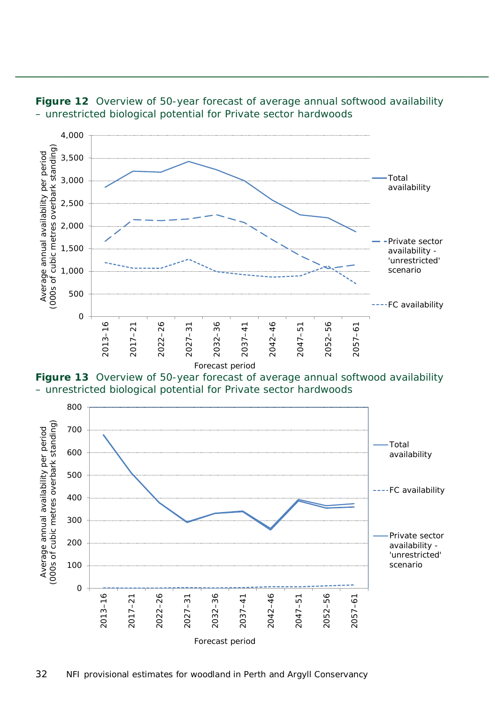

<span id="page-31-0"></span>

<span id="page-31-1"></span>

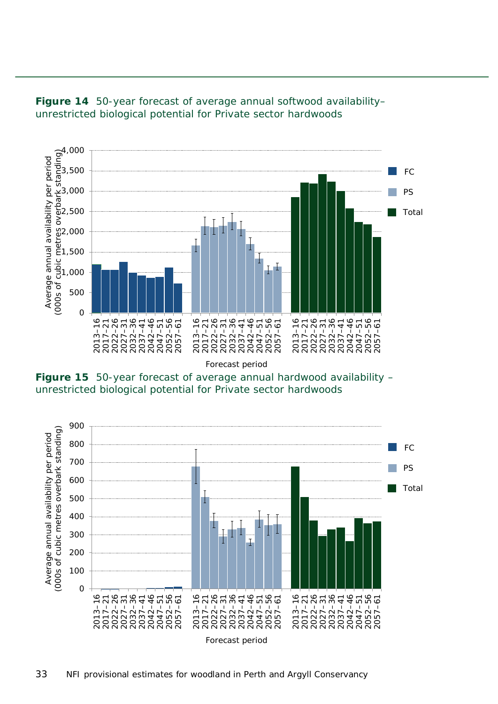

<span id="page-32-0"></span>

Forecast period

<span id="page-32-1"></span>**Figure 15** 50-year forecast of average annual hardwood availability – unrestricted biological potential for Private sector hardwoods

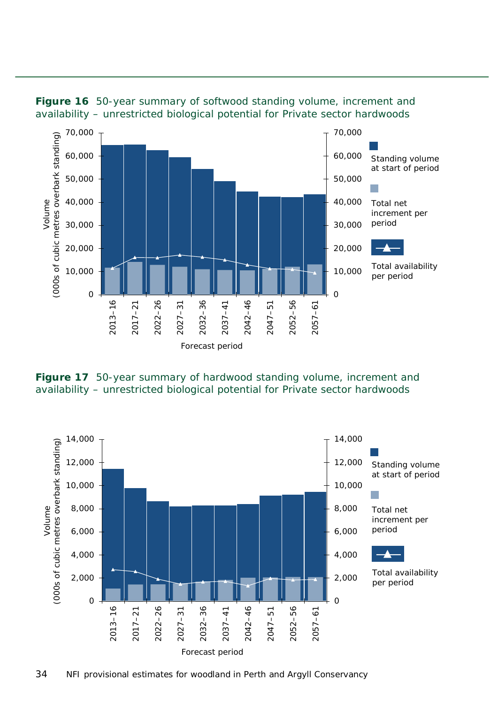

<span id="page-33-0"></span>

<span id="page-33-1"></span>**Figure 17** 50-year summary of hardwood standing volume, increment and availability – unrestricted biological potential for Private sector hardwoods

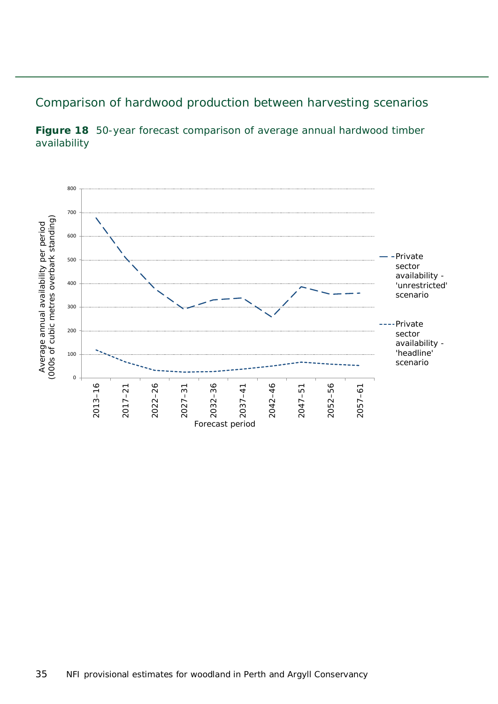#### <span id="page-34-0"></span>Comparison of hardwood production between harvesting scenarios

<span id="page-34-1"></span>

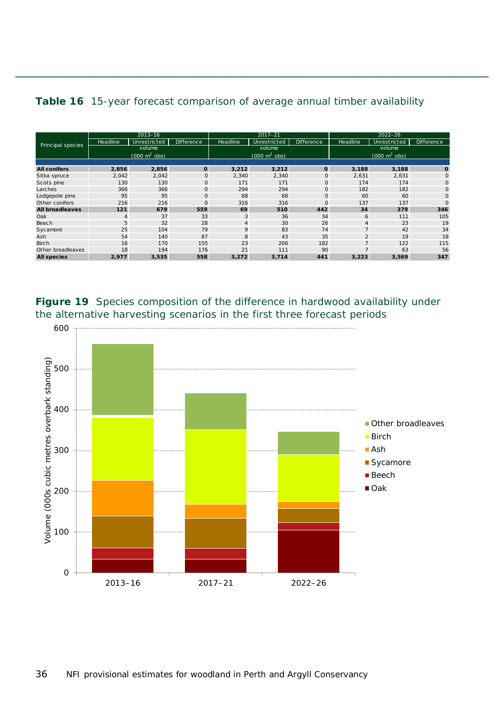<span id="page-35-1"></span>

| Principal species      | $2013 - 16$                     |              |                   | $2017 - 21$                     |              |              | $2022 - 26$                     |              |              |  |  |  |
|------------------------|---------------------------------|--------------|-------------------|---------------------------------|--------------|--------------|---------------------------------|--------------|--------------|--|--|--|
|                        | Headline                        | Unrestricted | <b>Difference</b> | Headline                        | Unrestricted | Difference   | Headline                        | Unrestricted | Difference   |  |  |  |
|                        | volume                          |              |                   | volume                          |              |              | volume                          |              |              |  |  |  |
|                        | $(000 \text{ m}^3 \text{ obs})$ |              |                   | $(000 \text{ m}^3 \text{ obs})$ |              |              | $(000 \text{ m}^3 \text{ obs})$ |              |              |  |  |  |
|                        |                                 |              |                   |                                 |              |              |                                 |              |              |  |  |  |
| <b>All conifers</b>    | 2,856                           | 2,856        | $\mathbf 0$       | 3,212                           | 3,212        | $\mathbf{o}$ | 3,188                           | 3,188        | $\mathbf{o}$ |  |  |  |
| Sitka spruce           | 2,042                           | 2,042        | $\mathbf 0$       | 2,340                           | 2,340        | $\circ$      | 2,631                           | 2,631        | $\circ$      |  |  |  |
| Scots pine             | 130                             | 130          | $\mathbf{O}$      | 171                             | 171          | $\circ$      | 174                             | 174          | $\mathbf{O}$ |  |  |  |
| Larches                | 366                             | 366          | $\mathbf 0$       | 294                             | 294          | $\mathbf{O}$ | 182                             | 182          | $\mathbf{O}$ |  |  |  |
| Lodgepole pine         | 95                              | 95           | $\mathbf{O}$      | 68                              | 68           | $\mathbf{O}$ | 60                              | 60           | $\mathbf{O}$ |  |  |  |
| Other conifers         | 216                             | 216          | $\circ$           | 316                             | 316          | $\mathbf 0$  | 137                             | 137          | $\mathbf{O}$ |  |  |  |
| <b>All broadleaves</b> | 121                             | 679          | 559               | 69                              | 510          | 442          | 34                              | 379          | 346          |  |  |  |
| Oak                    | $\overline{4}$                  | 37           | 33                | 3                               | 36           | 34           | 6                               | 111          | 105          |  |  |  |
| Beech                  | 5                               | 32           | 28                | $\overline{4}$                  | 30           | 26           | $\overline{4}$                  | 23           | 19           |  |  |  |
| Sycamore               | 25                              | 104          | 79                | 9                               | 83           | 74           | $\overline{7}$                  | 42           | 34           |  |  |  |
| Ash                    | 54                              | 140          | 87                | 8                               | 43           | 35           | $\overline{2}$                  | 19           | 18           |  |  |  |
| <b>Birch</b>           | 16                              | 170          | 155               | 23                              | 206          | 182          | $\overline{7}$                  | 122          | 115          |  |  |  |
| Other broadleaves      | 18                              | 194          | 176               | 21                              | 111          | 90           |                                 | 63           | 56           |  |  |  |
| <b>All species</b>     | 2,977                           | 3,535        | 558               | 3,272                           | 3,714        | 441          | 3,223                           | 3,569        | 347          |  |  |  |

<span id="page-35-0"></span>**Figure 19** Species composition of the difference in hardwood availability under the alternative harvesting scenarios in the first three forecast periods